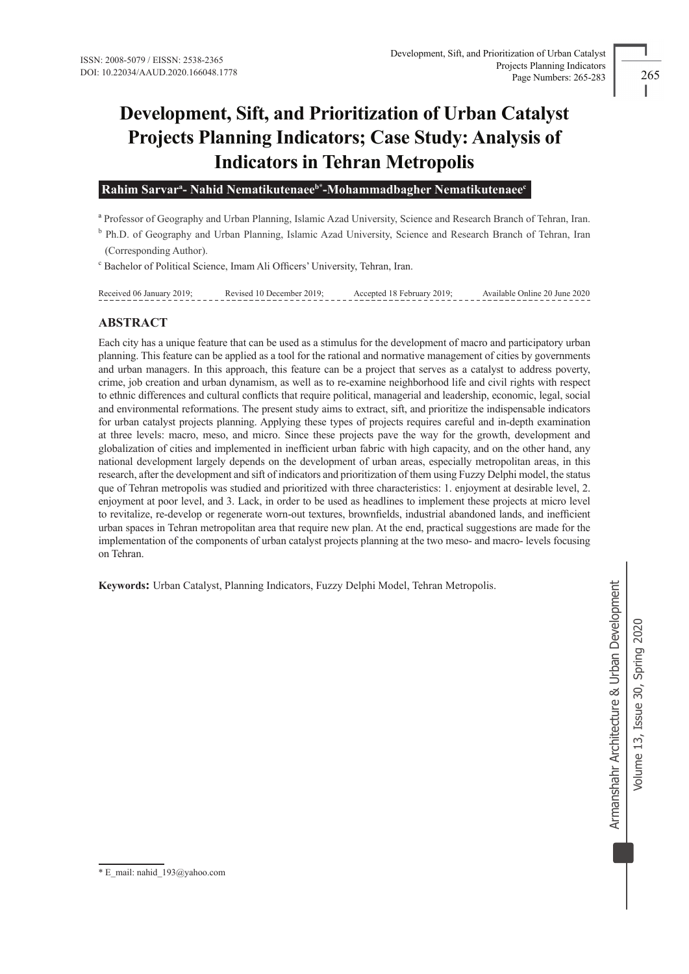# **Development, Sift, and Prioritization of Urban Catalyst Projects Planning Indicators; Case Study: Analysis of Indicators in Tehran Metropolis**

 **Rahim Sarvara - Nahid Nematikutenaeeb\* -Mohammadbagher Nematikutenaeec**

a Professor of Geography and Urban Planning, Islamic Azad University, Science and Research Branch of Tehran, Iran.

<sup>b</sup> Ph.D. of Geography and Urban Planning, Islamic Azad University, Science and Research Branch of Tehran, Iran (Corresponding Author).

c Bachelor of Political Science, Imam Ali Officers' University, Tehran, Iran.

Received 06 January 2019; Revised 10 December 2019; Accepted 18 February 2019; Available Online 20 June 2020

# **ABSTRACT**

Each city has a unique feature that can be used as a stimulus for the development of macro and participatory urban planning. This feature can be applied as a tool for the rational and normative management of cities by governments and urban managers. In this approach, this feature can be a project that serves as a catalyst to address poverty, crime, job creation and urban dynamism, as well as to re-examine neighborhood life and civil rights with respect to ethnic differences and cultural conflicts that require political, managerial and leadership, economic, legal, social and environmental reformations. The present study aims to extract, sift, and prioritize the indispensable indicators for urban catalyst projects planning. Applying these types of projects requires careful and in-depth examination at three levels: macro, meso, and micro. Since these projects pave the way for the growth, development and globalization of cities and implemented in inefficient urban fabric with high capacity, and on the other hand, any national development largely depends on the development of urban areas, especially metropolitan areas, in this research, after the development and sift of indicators and prioritization of them using Fuzzy Delphi model, the status que of Tehran metropolis was studied and prioritized with three characteristics: 1. enjoyment at desirable level, 2. enjoyment at poor level, and 3. Lack, in order to be used as headlines to implement these projects at micro level to revitalize, re-develop or regenerate worn-out textures, brownfields, industrial abandoned lands, and inefficient urban spaces in Tehran metropolitan area that require new plan. At the end, practical suggestions are made for the implementation of the components of urban catalyst projects planning at the two meso- and macro- levels focusing on Tehran.

**Keywords:** Urban Catalyst, Planning Indicators, Fuzzy Delphi Model, Tehran Metropolis.

<sup>\*</sup> E\_mail: nahid\_193@yahoo.com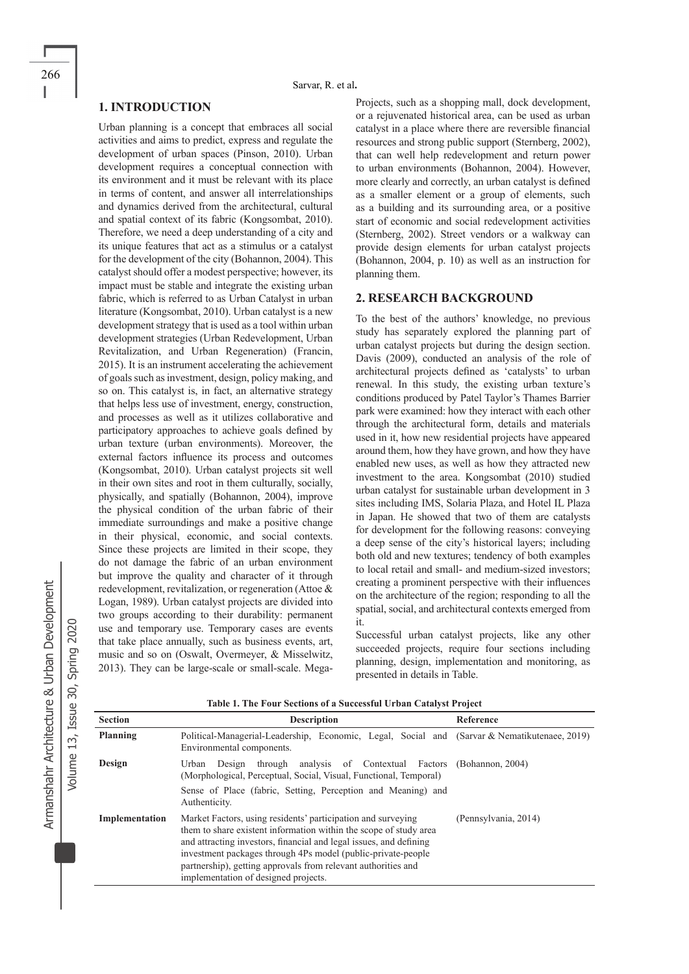# **1. INTRODUCTION**

Urban planning is a concept that embraces all social activities and aims to predict, express and regulate the development of urban spaces (Pinson, 2010). Urban development requires a conceptual connection with its environment and it must be relevant with its place in terms of content, and answer all interrelationships and dynamics derived from the architectural, cultural and spatial context of its fabric (Kongsombat, 2010). Therefore, we need a deep understanding of a city and its unique features that act as a stimulus or a catalyst for the development of the city (Bohannon, 2004). This catalyst should offer a modest perspective; however, its impact must be stable and integrate the existing urban fabric, which is referred to as Urban Catalyst in urban literature (Kongsombat, 2010). Urban catalyst is a new development strategy that is used as a tool within urban development strategies (Urban Redevelopment, Urban Revitalization, and Urban Regeneration) (Francin, 2015). It is an instrument accelerating the achievement of goals such as investment, design, policy making, and so on. This catalyst is, in fact, an alternative strategy that helps less use of investment, energy, construction, and processes as well as it utilizes collaborative and participatory approaches to achieve goals defined by urban texture (urban environments). Moreover, the external factors influence its process and outcomes (Kongsombat, 2010). Urban catalyst projects sit well in their own sites and root in them culturally, socially, physically, and spatially (Bohannon, 2004), improve the physical condition of the urban fabric of their immediate surroundings and make a positive change in their physical, economic, and social contexts. Since these projects are limited in their scope, they do not damage the fabric of an urban environment but improve the quality and character of it through redevelopment, revitalization, or regeneration (Attoe & Logan, 1989). Urban catalyst projects are divided into two groups according to their durability: permanent use and temporary use. Temporary cases are events that take place annually, such as business events, art, music and so on (Oswalt, Overmeyer, & Misselwitz, 2013). They can be large-scale or small-scale. Mega-

Projects, such as a shopping mall, dock development, or a rejuvenated historical area, can be used as urban catalyst in a place where there are reversible financial resources and strong public support (Sternberg, 2002), that can well help redevelopment and return power to urban environments (Bohannon, 2004). However, more clearly and correctly, an urban catalyst is defined as a smaller element or a group of elements, such as a building and its surrounding area, or a positive start of economic and social redevelopment activities (Sternberg, 2002). Street vendors or a walkway can provide design elements for urban catalyst projects (Bohannon, 2004, p. 10) as well as an instruction for planning them.

## **2. RESEARCH BACKGROUND**

To the best of the authors' knowledge, no previous study has separately explored the planning part of urban catalyst projects but during the design section. Davis (2009), conducted an analysis of the role of architectural projects defined as 'catalysts' to urban renewal. In this study, the existing urban texture's conditions produced by Patel Taylor's Thames Barrier park were examined: how they interact with each other through the architectural form, details and materials used in it, how new residential projects have appeared around them, how they have grown, and how they have enabled new uses, as well as how they attracted new investment to the area. Kongsombat (2010) studied urban catalyst for sustainable urban development in 3 sites including IMS, Solaria Plaza, and Hotel IL Plaza in Japan. He showed that two of them are catalysts for development for the following reasons: conveying a deep sense of the city's historical layers; including both old and new textures; tendency of both examples to local retail and small- and medium-sized investors; creating a prominent perspective with their influences on the architecture of the region; responding to all the spatial, social, and architectural contexts emerged from it.

Successful urban catalyst projects, like any other succeeded projects, require four sections including planning, design, implementation and monitoring, as presented in details in Table.

| <b>Section</b> | <b>Description</b>                                                                                                                                                                                                                                                                                                                                                                | Reference            |
|----------------|-----------------------------------------------------------------------------------------------------------------------------------------------------------------------------------------------------------------------------------------------------------------------------------------------------------------------------------------------------------------------------------|----------------------|
| Planning       | Political-Managerial-Leadership, Economic, Legal, Social and (Sarvar & Nematikutenaee, 2019)<br>Environmental components.                                                                                                                                                                                                                                                         |                      |
| Design         | through analysis of Contextual Factors (Bohannon, 2004)<br>Urban<br>Design<br>(Morphological, Perceptual, Social, Visual, Functional, Temporal)<br>Sense of Place (fabric, Setting, Perception and Meaning) and<br>Authenticity.                                                                                                                                                  |                      |
| Implementation | Market Factors, using residents' participation and surveying<br>them to share existent information within the scope of study area<br>and attracting investors, financial and legal issues, and defining<br>investment packages through 4Ps model (public-private-people)<br>partnership), getting approvals from relevant authorities and<br>implementation of designed projects. | (Pennsylvania, 2014) |

**Table 1. The Four Sections of a Successful Urban Catalyst Project**

Volume 13, Issue 30, Spring 2020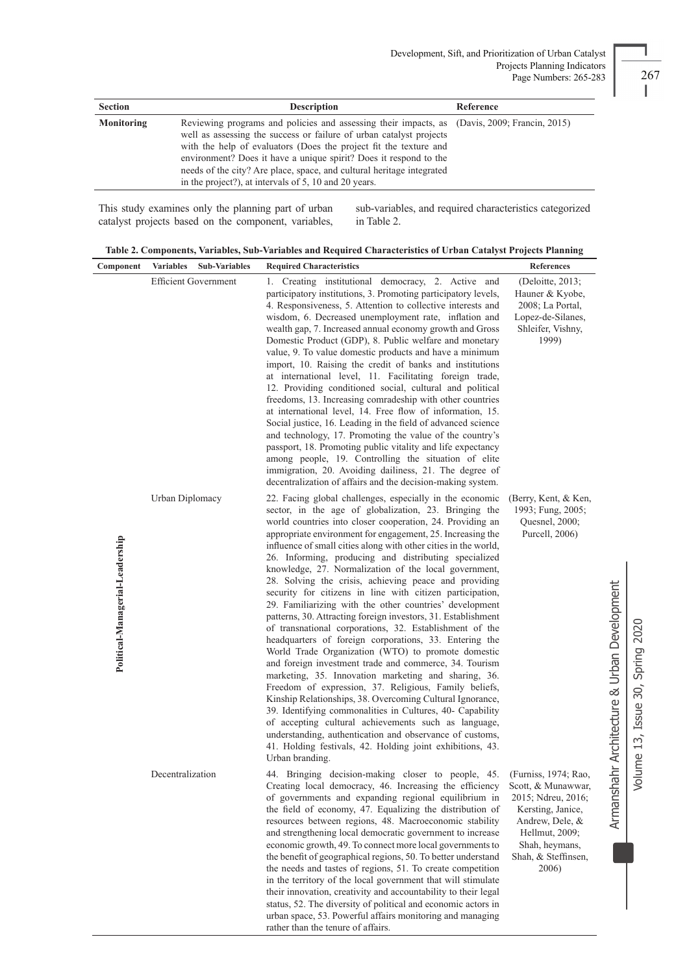| <b>Section</b> | <b>Description</b>                                                                                                                                                                                                                                                                                                                                                                                                                              | Reference |
|----------------|-------------------------------------------------------------------------------------------------------------------------------------------------------------------------------------------------------------------------------------------------------------------------------------------------------------------------------------------------------------------------------------------------------------------------------------------------|-----------|
| Monitoring     | Reviewing programs and policies and assessing their impacts, as (Davis, 2009; Francin, 2015)<br>well as assessing the success or failure of urban catalyst projects<br>with the help of evaluators (Does the project fit the texture and<br>environment? Does it have a unique spirit? Does it respond to the<br>needs of the city? Are place, space, and cultural heritage integrated<br>in the project?), at intervals of 5, 10 and 20 years. |           |

This study examines only the planning part of urban catalyst projects based on the component, variables,

sub-variables, and required characteristics categorized in Table 2.

|  | Table 2. Components, Variables, Sub-Variables and Required Characteristics of Urban Catalyst Projects Planning |  |  |  |  |
|--|----------------------------------------------------------------------------------------------------------------|--|--|--|--|
|  |                                                                                                                |  |  |  |  |

| Component                       | <b>Variables</b><br><b>Sub-Variables</b> | <b>Required Characteristics</b>                                                                                                                                                                                                                                                                                                                                                                                                                                                                                                                                                                                                                                                                                                                                                                                                                                                                                                                                                                                                                                                                                                                                                                                                                                                                                                                                         | References                                                                                                                                           |                                     |
|---------------------------------|------------------------------------------|-------------------------------------------------------------------------------------------------------------------------------------------------------------------------------------------------------------------------------------------------------------------------------------------------------------------------------------------------------------------------------------------------------------------------------------------------------------------------------------------------------------------------------------------------------------------------------------------------------------------------------------------------------------------------------------------------------------------------------------------------------------------------------------------------------------------------------------------------------------------------------------------------------------------------------------------------------------------------------------------------------------------------------------------------------------------------------------------------------------------------------------------------------------------------------------------------------------------------------------------------------------------------------------------------------------------------------------------------------------------------|------------------------------------------------------------------------------------------------------------------------------------------------------|-------------------------------------|
|                                 | <b>Efficient Government</b>              | 1. Creating institutional democracy, 2. Active and<br>participatory institutions, 3. Promoting participatory levels,<br>4. Responsiveness, 5. Attention to collective interests and<br>wisdom, 6. Decreased unemployment rate, inflation and<br>wealth gap, 7. Increased annual economy growth and Gross<br>Domestic Product (GDP), 8. Public welfare and monetary<br>value, 9. To value domestic products and have a minimum<br>import, 10. Raising the credit of banks and institutions<br>at international level, 11. Facilitating foreign trade,<br>12. Providing conditioned social, cultural and political<br>freedoms, 13. Increasing comradeship with other countries<br>at international level, 14. Free flow of information, 15.<br>Social justice, 16. Leading in the field of advanced science<br>and technology, 17. Promoting the value of the country's<br>passport, 18. Promoting public vitality and life expectancy<br>among people, 19. Controlling the situation of elite<br>immigration, 20. Avoiding dailiness, 21. The degree of<br>decentralization of affairs and the decision-making system.                                                                                                                                                                                                                                                  | (Deloitte, 2013;<br>Hauner & Kyobe,<br>2008; La Portal,<br>Lopez-de-Silanes,<br>Shleifer, Vishny,<br>1999)                                           |                                     |
| Political-Managerial-Leadership | Urban Diplomacy                          | 22. Facing global challenges, especially in the economic<br>sector, in the age of globalization, 23. Bringing the<br>world countries into closer cooperation, 24. Providing an<br>appropriate environment for engagement, 25. Increasing the<br>influence of small cities along with other cities in the world,<br>26. Informing, producing and distributing specialized<br>knowledge, 27. Normalization of the local government,<br>28. Solving the crisis, achieving peace and providing<br>security for citizens in line with citizen participation,<br>29. Familiarizing with the other countries' development<br>patterns, 30. Attracting foreign investors, 31. Establishment<br>of transnational corporations, 32. Establishment of the<br>headquarters of foreign corporations, 33. Entering the<br>World Trade Organization (WTO) to promote domestic<br>and foreign investment trade and commerce, 34. Tourism<br>marketing, 35. Innovation marketing and sharing, 36.<br>Freedom of expression, 37. Religious, Family beliefs,<br>Kinship Relationships, 38. Overcoming Cultural Ignorance,<br>39. Identifying commonalities in Cultures, 40- Capability<br>of accepting cultural achievements such as language,<br>understanding, authentication and observance of customs,<br>41. Holding festivals, 42. Holding joint exhibitions, 43.<br>Urban branding. | (Berry, Kent, & Ken,<br>1993; Fung, 2005;<br>Quesnel, 2000;<br>Purcell, 2006)                                                                        | hr Architecture & Urban Development |
|                                 | Decentralization                         | 44. Bringing decision-making closer to people, 45. (Furniss, 1974; Rao,<br>Creating local democracy, 46. Increasing the efficiency<br>of governments and expanding regional equilibrium in<br>the field of economy, 47. Equalizing the distribution of<br>resources between regions, 48. Macroeconomic stability<br>and strengthening local democratic government to increase<br>economic growth, 49. To connect more local governments to<br>the benefit of geographical regions, 50. To better understand<br>the needs and tastes of regions, 51. To create competition<br>in the territory of the local government that will stimulate<br>their innovation, creativity and accountability to their legal<br>status, 52. The diversity of political and economic actors in<br>urban space, 53. Powerful affairs monitoring and managing<br>rather than the tenure of affairs.                                                                                                                                                                                                                                                                                                                                                                                                                                                                                         | Scott, & Munawwar,<br>2015; Ndreu, 2016;<br>Kersting, Janice,<br>Andrew, Dele, &<br>Hellmut, 2009;<br>Shah, heymans,<br>Shah, & Steffinsen,<br>2006) | Armansha                            |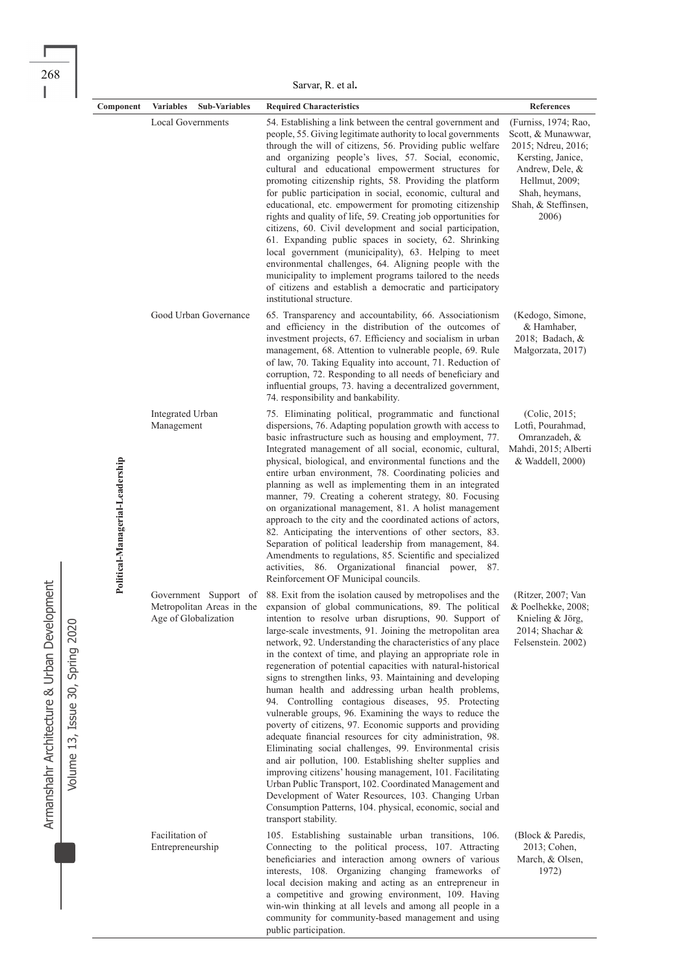268

|                                 | Sarvar, R. et al.                                 |                                                                                                                                                                                                                                                                                                                                                                                                                                                                                                                                                                                                                                                                                                                                                                                                                                                                                                                                                                                                                                                                                                                                                                                                                                             |                                                                                                                                                                              |  |
|---------------------------------|---------------------------------------------------|---------------------------------------------------------------------------------------------------------------------------------------------------------------------------------------------------------------------------------------------------------------------------------------------------------------------------------------------------------------------------------------------------------------------------------------------------------------------------------------------------------------------------------------------------------------------------------------------------------------------------------------------------------------------------------------------------------------------------------------------------------------------------------------------------------------------------------------------------------------------------------------------------------------------------------------------------------------------------------------------------------------------------------------------------------------------------------------------------------------------------------------------------------------------------------------------------------------------------------------------|------------------------------------------------------------------------------------------------------------------------------------------------------------------------------|--|
| Component                       | <b>Variables</b><br><b>Sub-Variables</b>          | <b>Required Characteristics</b>                                                                                                                                                                                                                                                                                                                                                                                                                                                                                                                                                                                                                                                                                                                                                                                                                                                                                                                                                                                                                                                                                                                                                                                                             | References                                                                                                                                                                   |  |
|                                 | <b>Local Governments</b>                          | 54. Establishing a link between the central government and<br>people, 55. Giving legitimate authority to local governments<br>through the will of citizens, 56. Providing public welfare<br>and organizing people's lives, 57. Social, economic,<br>cultural and educational empowerment structures for<br>promoting citizenship rights, 58. Providing the platform<br>for public participation in social, economic, cultural and<br>educational, etc. empowerment for promoting citizenship<br>rights and quality of life, 59. Creating job opportunities for<br>citizens, 60. Civil development and social participation,<br>61. Expanding public spaces in society, 62. Shrinking<br>local government (municipality), 63. Helping to meet<br>environmental challenges, 64. Aligning people with the<br>municipality to implement programs tailored to the needs<br>of citizens and establish a democratic and participatory<br>institutional structure.                                                                                                                                                                                                                                                                                  | (Furniss, 1974; Rao,<br>Scott, & Munawwar,<br>2015; Ndreu, 2016;<br>Kersting, Janice,<br>Andrew, Dele, &<br>Hellmut, 2009;<br>Shah, heymans,<br>Shah, & Steffinsen,<br>2006) |  |
|                                 | Good Urban Governance                             | 65. Transparency and accountability, 66. Associationism<br>and efficiency in the distribution of the outcomes of<br>investment projects, 67. Efficiency and socialism in urban<br>management, 68. Attention to vulnerable people, 69. Rule<br>of law, 70. Taking Equality into account, 71. Reduction of<br>corruption, 72. Responding to all needs of beneficiary and<br>influential groups, 73. having a decentralized government,<br>74. responsibility and bankability.                                                                                                                                                                                                                                                                                                                                                                                                                                                                                                                                                                                                                                                                                                                                                                 | (Kedogo, Simone,<br>& Hamhaber,<br>2018; Badach, &<br>Małgorzata, 2017)                                                                                                      |  |
| Political-Managerial-Leadership | Integrated Urban<br>Management                    | 75. Eliminating political, programmatic and functional<br>dispersions, 76. Adapting population growth with access to<br>basic infrastructure such as housing and employment, 77.<br>Integrated management of all social, economic, cultural,<br>physical, biological, and environmental functions and the<br>entire urban environment, 78. Coordinating policies and<br>planning as well as implementing them in an integrated<br>manner, 79. Creating a coherent strategy, 80. Focusing<br>on organizational management, 81. A holist management<br>approach to the city and the coordinated actions of actors,<br>82. Anticipating the interventions of other sectors, 83.<br>Separation of political leadership from management, 84.<br>Amendments to regulations, 85. Scientific and specialized<br>activities, 86. Organizational financial power, 87.<br>Reinforcement OF Municipal councils.                                                                                                                                                                                                                                                                                                                                         | (Colic, 2015)<br>Lotfi, Pourahmad,<br>Omranzadeh, &<br>Mahdi, 2015; Alberti<br>& Waddell, 2000)                                                                              |  |
|                                 | Metropolitan Areas in the<br>Age of Globalization | Government Support of 88. Exit from the isolation caused by metropolises and the (Ritzer, 2007; Van<br>expansion of global communications, 89. The political<br>intention to resolve urban disruptions, 90. Support of<br>large-scale investments, 91. Joining the metropolitan area<br>network, 92. Understanding the characteristics of any place<br>in the context of time, and playing an appropriate role in<br>regeneration of potential capacities with natural-historical<br>signs to strengthen links, 93. Maintaining and developing<br>human health and addressing urban health problems,<br>94. Controlling contagious diseases, 95. Protecting<br>vulnerable groups, 96. Examining the ways to reduce the<br>poverty of citizens, 97. Economic supports and providing<br>adequate financial resources for city administration, 98.<br>Eliminating social challenges, 99. Environmental crisis<br>and air pollution, 100. Establishing shelter supplies and<br>improving citizens' housing management, 101. Facilitating<br>Urban Public Transport, 102. Coordinated Management and<br>Development of Water Resources, 103. Changing Urban<br>Consumption Patterns, 104. physical, economic, social and<br>transport stability. | & Poelhekke, 2008;<br>Knieling & Jörg,<br>2014; Shachar &<br>Felsenstein. 2002)                                                                                              |  |
|                                 | Facilitation of<br>Entrepreneurship               | 105. Establishing sustainable urban transitions, 106.<br>Connecting to the political process, 107. Attracting<br>beneficiaries and interaction among owners of various<br>interests, 108. Organizing changing frameworks of<br>local decision making and acting as an entrepreneur in<br>a competitive and growing environment, 109. Having<br>win-win thinking at all levels and among all people in a                                                                                                                                                                                                                                                                                                                                                                                                                                                                                                                                                                                                                                                                                                                                                                                                                                     | (Block & Paredis,<br>2013; Cohen,<br>March, & Olsen,<br>1972)                                                                                                                |  |

community for community-based management and using

public participation.

Armanshahr Architecture & Urban Development Armanshahr Architecture & Urban Development

Volume 13, Issue 30, Spring 2020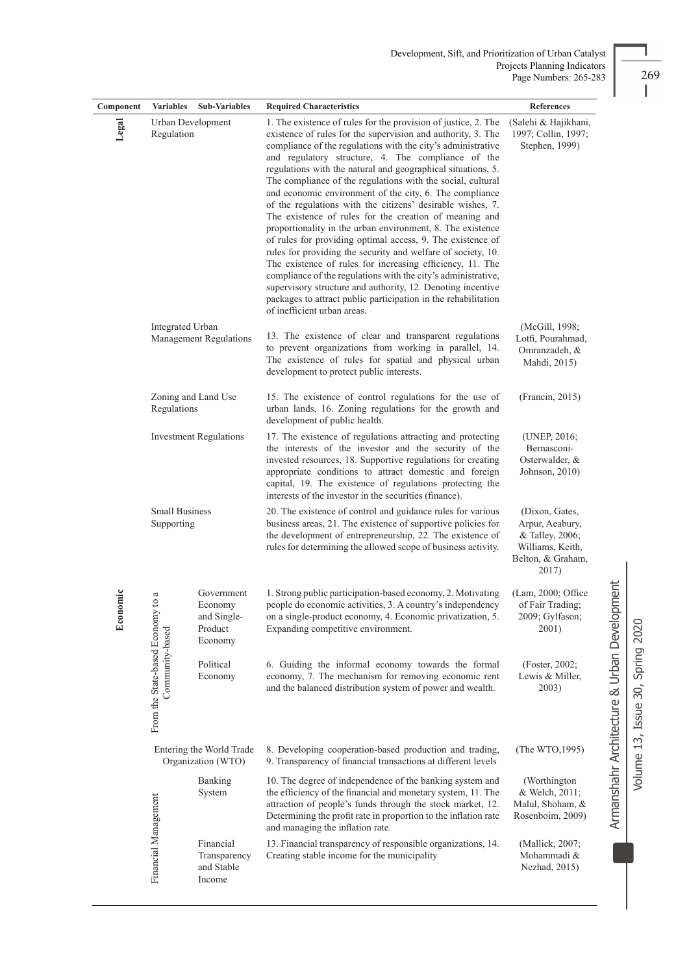| Component                                | <b>Variables</b>                               | <b>Sub-Variables</b>                                       | <b>Required Characteristics</b>                                                                                                                                                                                                                                                                                                                                                                                                                                                                                                                                                                                                                                                                                                                                                                                                                                                                                                                                                                                                                                  | References                                                                                             |                                        |
|------------------------------------------|------------------------------------------------|------------------------------------------------------------|------------------------------------------------------------------------------------------------------------------------------------------------------------------------------------------------------------------------------------------------------------------------------------------------------------------------------------------------------------------------------------------------------------------------------------------------------------------------------------------------------------------------------------------------------------------------------------------------------------------------------------------------------------------------------------------------------------------------------------------------------------------------------------------------------------------------------------------------------------------------------------------------------------------------------------------------------------------------------------------------------------------------------------------------------------------|--------------------------------------------------------------------------------------------------------|----------------------------------------|
| Legal<br>Urban Development<br>Regulation |                                                |                                                            | 1. The existence of rules for the provision of justice, 2. The<br>existence of rules for the supervision and authority, 3. The<br>compliance of the regulations with the city's administrative<br>and regulatory structure, 4. The compliance of the<br>regulations with the natural and geographical situations, 5.<br>The compliance of the regulations with the social, cultural<br>and economic environment of the city, 6. The compliance<br>of the regulations with the citizens' desirable wishes, 7.<br>The existence of rules for the creation of meaning and<br>proportionality in the urban environment, 8. The existence<br>of rules for providing optimal access, 9. The existence of<br>rules for providing the security and welfare of society, 10.<br>The existence of rules for increasing efficiency, 11. The<br>compliance of the regulations with the city's administrative,<br>supervisory structure and authority, 12. Denoting incentive<br>packages to attract public participation in the rehabilitation<br>of inefficient urban areas. | (Salehi & Hajikhani,<br>1997; Collin, 1997;<br>Stephen, 1999)                                          |                                        |
|                                          | Integrated Urban                               | Management Regulations                                     | 13. The existence of clear and transparent regulations<br>to prevent organizations from working in parallel, 14.<br>The existence of rules for spatial and physical urban<br>development to protect public interests.                                                                                                                                                                                                                                                                                                                                                                                                                                                                                                                                                                                                                                                                                                                                                                                                                                            | (McGill, 1998;<br>Lotfi, Pourahmad,<br>Omranzadeh, &<br>Mahdi, 2015)                                   |                                        |
|                                          | Regulations                                    | Zoning and Land Use                                        | 15. The existence of control regulations for the use of<br>urban lands, 16. Zoning regulations for the growth and<br>development of public health.                                                                                                                                                                                                                                                                                                                                                                                                                                                                                                                                                                                                                                                                                                                                                                                                                                                                                                               | (Francin, 2015)                                                                                        |                                        |
| <b>Investment Regulations</b>            |                                                |                                                            | 17. The existence of regulations attracting and protecting<br>the interests of the investor and the security of the<br>invested resources, 18. Supportive regulations for creating<br>appropriate conditions to attract domestic and foreign<br>capital, 19. The existence of regulations protecting the<br>interests of the investor in the securities (finance).                                                                                                                                                                                                                                                                                                                                                                                                                                                                                                                                                                                                                                                                                               | (UNEP, 2016;<br>Bernasconi-<br>Osterwalder, &<br>Johnson, 2010)                                        |                                        |
|                                          | <b>Small Business</b><br>Supporting            |                                                            | 20. The existence of control and guidance rules for various<br>business areas, 21. The existence of supportive policies for<br>the development of entrepreneurship, 22. The existence of<br>rules for determining the allowed scope of business activity.                                                                                                                                                                                                                                                                                                                                                                                                                                                                                                                                                                                                                                                                                                                                                                                                        | (Dixon, Gates,<br>Arpur, Aeabury,<br>& Talley, 2006;<br>Williams, Keith,<br>Belton, & Graham,<br>2017) |                                        |
| Economic                                 | to a                                           | Government<br>Economy<br>and Single-<br>Product<br>Economy | 1. Strong public participation-based economy, 2. Motivating<br>people do economic activities, 3. A country's independency<br>on a single-product economy, 4. Economic privatization, 5.<br>Expanding competitive environment.                                                                                                                                                                                                                                                                                                                                                                                                                                                                                                                                                                                                                                                                                                                                                                                                                                    | (Lam, 2000; Office<br>of Fair Trading;<br>2009; Gylfason;<br>2001)                                     | pment                                  |
|                                          | From the State-based Econom<br>Community-based | Political<br>Economy                                       | 6. Guiding the informal economy towards the formal<br>economy, 7. The mechanism for removing economic rent<br>and the balanced distribution system of power and wealth.                                                                                                                                                                                                                                                                                                                                                                                                                                                                                                                                                                                                                                                                                                                                                                                                                                                                                          | (Foster, 2002;<br>Lewis & Miller,<br>2003)                                                             | Armanshahr Architecture & Urban Develo |
|                                          |                                                | Entering the World Trade<br>Organization (WTO)             | 8. Developing cooperation-based production and trading,<br>9. Transparency of financial transactions at different levels                                                                                                                                                                                                                                                                                                                                                                                                                                                                                                                                                                                                                                                                                                                                                                                                                                                                                                                                         | (The WTO, 1995)                                                                                        |                                        |
|                                          |                                                | Banking<br>System                                          | 10. The degree of independence of the banking system and<br>the efficiency of the financial and monetary system, 11. The<br>attraction of people's funds through the stock market, 12.<br>Determining the profit rate in proportion to the inflation rate<br>and managing the inflation rate.                                                                                                                                                                                                                                                                                                                                                                                                                                                                                                                                                                                                                                                                                                                                                                    | (Worthington<br>& Welch, 2011;<br>Malul, Shoham, &<br>Rosenboim, 2009)                                 |                                        |
|                                          | Financial Management                           | Financial<br>Transparency<br>and Stable<br>Income          | 13. Financial transparency of responsible organizations, 14.<br>Creating stable income for the municipality                                                                                                                                                                                                                                                                                                                                                                                                                                                                                                                                                                                                                                                                                                                                                                                                                                                                                                                                                      | (Mallick, 2007;<br>Mohammadi &<br>Nezhad, 2015)                                                        |                                        |

L,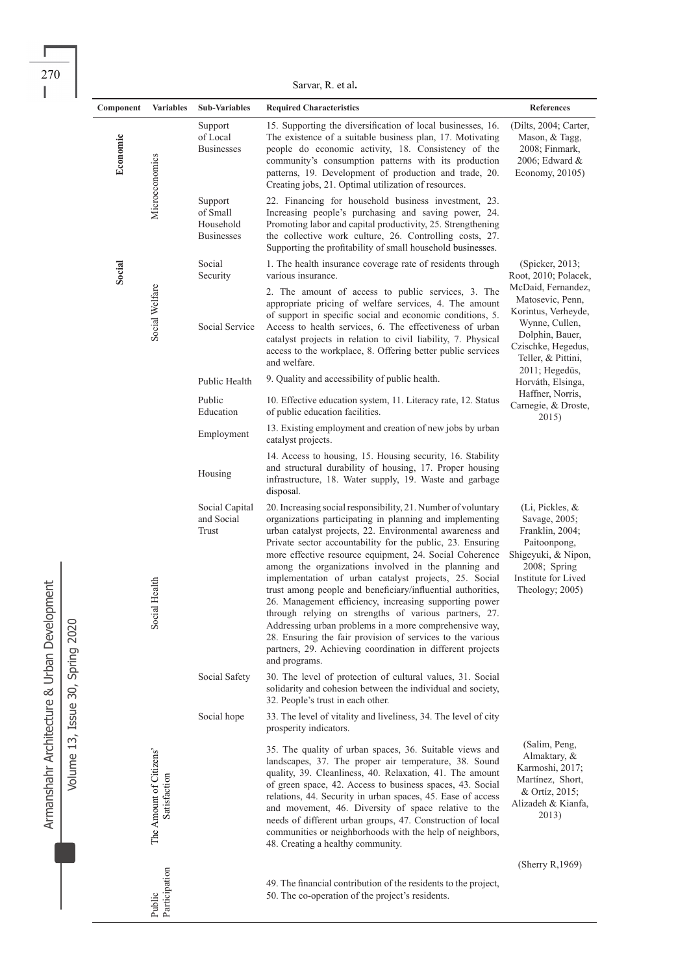$\overline{a}$  $\overline{a}$ 

Sarvar, R. et al**.**

| Component | <b>Variables</b>                                    | <b>Sub-Variables</b>                                  | <b>Required Characteristics</b>                                                                                                                                                                                                                                                                                                                                                                                                                                                                                                                                                                                                                                                                                                                                                                                          | References                                                                                                                                           |
|-----------|-----------------------------------------------------|-------------------------------------------------------|--------------------------------------------------------------------------------------------------------------------------------------------------------------------------------------------------------------------------------------------------------------------------------------------------------------------------------------------------------------------------------------------------------------------------------------------------------------------------------------------------------------------------------------------------------------------------------------------------------------------------------------------------------------------------------------------------------------------------------------------------------------------------------------------------------------------------|------------------------------------------------------------------------------------------------------------------------------------------------------|
| Economic  | Microeconomics                                      | Support<br>of Local<br><b>Businesses</b>              | 15. Supporting the diversification of local businesses, 16.<br>The existence of a suitable business plan, 17. Motivating<br>people do economic activity, 18. Consistency of the<br>community's consumption patterns with its production<br>patterns, 19. Development of production and trade, 20.<br>Creating jobs, 21. Optimal utilization of resources.                                                                                                                                                                                                                                                                                                                                                                                                                                                                | (Dilts, 2004; Carter,<br>Mason, & Tagg,<br>2008; Finmark,<br>2006; Edward &<br>Economy, 20105)                                                       |
|           |                                                     | Support<br>of Small<br>Household<br><b>Businesses</b> | 22. Financing for household business investment, 23.<br>Increasing people's purchasing and saving power, 24.<br>Promoting labor and capital productivity, 25. Strengthening<br>the collective work culture, 26. Controlling costs, 27.<br>Supporting the profitability of small household businesses.                                                                                                                                                                                                                                                                                                                                                                                                                                                                                                                    |                                                                                                                                                      |
| Social    |                                                     | Social<br>Security                                    | 1. The health insurance coverage rate of residents through<br>various insurance.                                                                                                                                                                                                                                                                                                                                                                                                                                                                                                                                                                                                                                                                                                                                         | (Spicker, 2013;<br>Root, 2010; Polacek,                                                                                                              |
|           | Social Welfare                                      | Social Service                                        | 2. The amount of access to public services, 3. The<br>appropriate pricing of welfare services, 4. The amount<br>of support in specific social and economic conditions, 5.<br>Access to health services, 6. The effectiveness of urban<br>catalyst projects in relation to civil liability, 7. Physical<br>access to the workplace, 8. Offering better public services<br>and welfare.                                                                                                                                                                                                                                                                                                                                                                                                                                    | McDaid, Fernandez,<br>Matosevic, Penn,<br>Korintus, Verheyde,<br>Wynne, Cullen,<br>Dolphin, Bauer,<br>Czischke, Hegedus,<br>Teller, & Pittini,       |
|           |                                                     | Public Health                                         | 9. Quality and accessibility of public health.                                                                                                                                                                                                                                                                                                                                                                                                                                                                                                                                                                                                                                                                                                                                                                           | 2011; Hegedüs,<br>Horváth, Elsinga,                                                                                                                  |
|           |                                                     | Public<br>Education                                   | 10. Effective education system, 11. Literacy rate, 12. Status<br>of public education facilities.                                                                                                                                                                                                                                                                                                                                                                                                                                                                                                                                                                                                                                                                                                                         | Haffner, Norris,<br>Carnegie, & Droste,<br>2015)                                                                                                     |
|           |                                                     | Employment                                            | 13. Existing employment and creation of new jobs by urban<br>catalyst projects.                                                                                                                                                                                                                                                                                                                                                                                                                                                                                                                                                                                                                                                                                                                                          |                                                                                                                                                      |
|           |                                                     | Housing                                               | 14. Access to housing, 15. Housing security, 16. Stability<br>and structural durability of housing, 17. Proper housing<br>infrastructure, 18. Water supply, 19. Waste and garbage<br>disposal.                                                                                                                                                                                                                                                                                                                                                                                                                                                                                                                                                                                                                           |                                                                                                                                                      |
|           | Social Health                                       | Social Capital<br>and Social<br>Trust                 | 20. Increasing social responsibility, 21. Number of voluntary<br>organizations participating in planning and implementing<br>urban catalyst projects, 22. Environmental awareness and<br>Private sector accountability for the public, 23. Ensuring<br>more effective resource equipment, 24. Social Coherence<br>among the organizations involved in the planning and<br>implementation of urban catalyst projects, 25. Social<br>trust among people and beneficiary/influential authorities,<br>26. Management efficiency, increasing supporting power<br>through relying on strengths of various partners, 27.<br>Addressing urban problems in a more comprehensive way,<br>28. Ensuring the fair provision of services to the various<br>partners, 29. Achieving coordination in different projects<br>and programs. | (Li, Pickles, &<br>Savage, 2005;<br>Franklin, 2004;<br>Paitoonpong,<br>Shigeyuki, & Nipon,<br>2008; Spring<br>Institute for Lived<br>Theology; 2005) |
|           |                                                     | Social Safety                                         | 30. The level of protection of cultural values, 31. Social<br>solidarity and cohesion between the individual and society,<br>32. People's trust in each other.                                                                                                                                                                                                                                                                                                                                                                                                                                                                                                                                                                                                                                                           |                                                                                                                                                      |
|           |                                                     | Social hope                                           | 33. The level of vitality and liveliness, 34. The level of city<br>prosperity indicators.                                                                                                                                                                                                                                                                                                                                                                                                                                                                                                                                                                                                                                                                                                                                |                                                                                                                                                      |
|           | The Amount of Citizens <sup>1</sup><br>Satisfaction |                                                       | 35. The quality of urban spaces, 36. Suitable views and<br>landscapes, 37. The proper air temperature, 38. Sound<br>quality, 39. Cleanliness, 40. Relaxation, 41. The amount<br>of green space, 42. Access to business spaces, 43. Social<br>relations, 44. Security in urban spaces, 45. Ease of access<br>and movement, 46. Diversity of space relative to the<br>needs of different urban groups, 47. Construction of local<br>communities or neighborhoods with the help of neighbors,<br>48. Creating a healthy community.                                                                                                                                                                                                                                                                                          | (Salim, Peng,<br>Almaktary, &<br>Karmoshi, 2017;<br>Martínez, Short,<br>& Ortíz, 2015;<br>Alizadeh & Kianfa,<br>2013)                                |
|           |                                                     |                                                       |                                                                                                                                                                                                                                                                                                                                                                                                                                                                                                                                                                                                                                                                                                                                                                                                                          | (Sherry R, $1969$ )                                                                                                                                  |
|           | Public<br>Participation                             |                                                       | 49. The financial contribution of the residents to the project,<br>50. The co-operation of the project's residents.                                                                                                                                                                                                                                                                                                                                                                                                                                                                                                                                                                                                                                                                                                      |                                                                                                                                                      |

Armanshahr Architecture & Urban Development Armanshahr Architecture & Urban Development

Volume 13, Issue 30, Spring 2020

 $\overline{a}$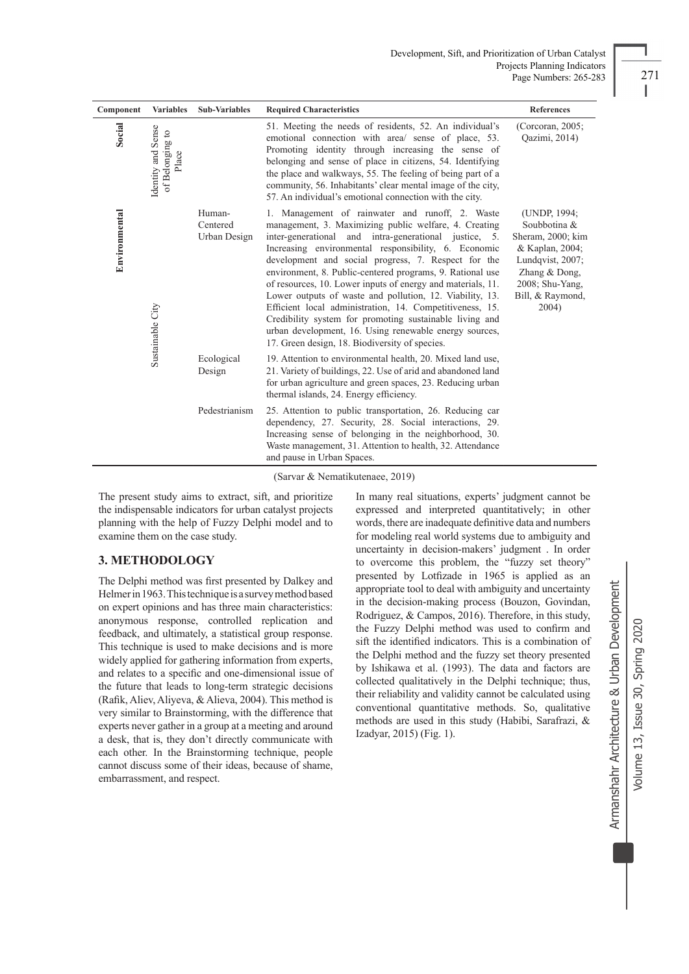| Component     | <b>Variables</b>                               | <b>Sub-Variables</b>               | <b>Required Characteristics</b>                                                                                                                                                                                                                                                                                                                                                                                                                                                                                                                                                                                                                                                                             | References                                                                                                                                                  |
|---------------|------------------------------------------------|------------------------------------|-------------------------------------------------------------------------------------------------------------------------------------------------------------------------------------------------------------------------------------------------------------------------------------------------------------------------------------------------------------------------------------------------------------------------------------------------------------------------------------------------------------------------------------------------------------------------------------------------------------------------------------------------------------------------------------------------------------|-------------------------------------------------------------------------------------------------------------------------------------------------------------|
| Social        | Identity and Sense<br>of Belonging to<br>Place |                                    | 51. Meeting the needs of residents, 52. An individual's<br>emotional connection with area/ sense of place, 53.<br>Promoting identity through increasing the sense of<br>belonging and sense of place in citizens, 54. Identifying<br>the place and walkways, 55. The feeling of being part of a<br>community, 56. Inhabitants' clear mental image of the city,<br>57. An individual's emotional connection with the city.                                                                                                                                                                                                                                                                                   | (Corcoran, 2005;<br>Qazimi, 2014)                                                                                                                           |
| Environmental | Sustainable City                               | Human-<br>Centered<br>Urban Design | 1. Management of rainwater and runoff, 2. Waste<br>management, 3. Maximizing public welfare, 4. Creating<br>inter-generational and intra-generational justice, 5.<br>Increasing environmental responsibility, 6. Economic<br>development and social progress, 7. Respect for the<br>environment, 8. Public-centered programs, 9. Rational use<br>of resources, 10. Lower inputs of energy and materials, 11.<br>Lower outputs of waste and pollution, 12. Viability, 13.<br>Efficient local administration, 14. Competitiveness, 15.<br>Credibility system for promoting sustainable living and<br>urban development, 16. Using renewable energy sources,<br>17. Green design, 18. Biodiversity of species. | (UNDP, 1994;<br>Soubbotina &<br>Sheram, 2000; kim<br>& Kaplan, 2004;<br>Lundqvist, 2007;<br>Zhang $&$ Dong,<br>2008; Shu-Yang,<br>Bill, & Raymond,<br>2004) |
|               |                                                | Ecological<br>Design               | 19. Attention to environmental health, 20. Mixed land use,<br>21. Variety of buildings, 22. Use of arid and abandoned land<br>for urban agriculture and green spaces, 23. Reducing urban<br>thermal islands, 24. Energy efficiency.                                                                                                                                                                                                                                                                                                                                                                                                                                                                         |                                                                                                                                                             |
|               |                                                | Pedestrianism                      | 25. Attention to public transportation, 26. Reducing car<br>dependency, 27. Security, 28. Social interactions, 29.<br>Increasing sense of belonging in the neighborhood, 30.<br>Waste management, 31. Attention to health, 32. Attendance<br>and pause in Urban Spaces.                                                                                                                                                                                                                                                                                                                                                                                                                                     |                                                                                                                                                             |

(Sarvar & Nematikutenaee, 2019)

The present study aims to extract, sift, and prioritize the indispensable indicators for urban catalyst projects planning with the help of Fuzzy Delphi model and to examine them on the case study.

## **3. METHODOLOGY**

The Delphi method was first presented by Dalkey and Helmer in 1963. This technique is a survey method based on expert opinions and has three main characteristics: anonymous response, controlled replication and feedback, and ultimately, a statistical group response. This technique is used to make decisions and is more widely applied for gathering information from experts, and relates to a specific and one-dimensional issue of the future that leads to long-term strategic decisions (Rafik, Aliev, Aliyeva, & Alieva, 2004). This method is very similar to Brainstorming, with the difference that experts never gather in a group at a meeting and around a desk, that is, they don't directly communicate with each other. In the Brainstorming technique, people cannot discuss some of their ideas, because of shame, embarrassment, and respect.

In many real situations, experts' judgment cannot be expressed and interpreted quantitatively; in other words, there are inadequate definitive data and numbers for modeling real world systems due to ambiguity and uncertainty in decision-makers' judgment . In order to overcome this problem, the "fuzzy set theory" presented by Lotfizade in 1965 is applied as an appropriate tool to deal with ambiguity and uncertainty in the decision-making process (Bouzon, Govindan, Rodriguez, & Campos, 2016). Therefore, in this study, the Fuzzy Delphi method was used to confirm and sift the identified indicators. This is a combination of the Delphi method and the fuzzy set theory presented by Ishikawa et al. (1993). The data and factors are collected qualitatively in the Delphi technique; thus, their reliability and validity cannot be calculated using conventional quantitative methods. So, qualitative methods are used in this study (Habibi, Sarafrazi, & Izadyar, 2015) (Fig. 1).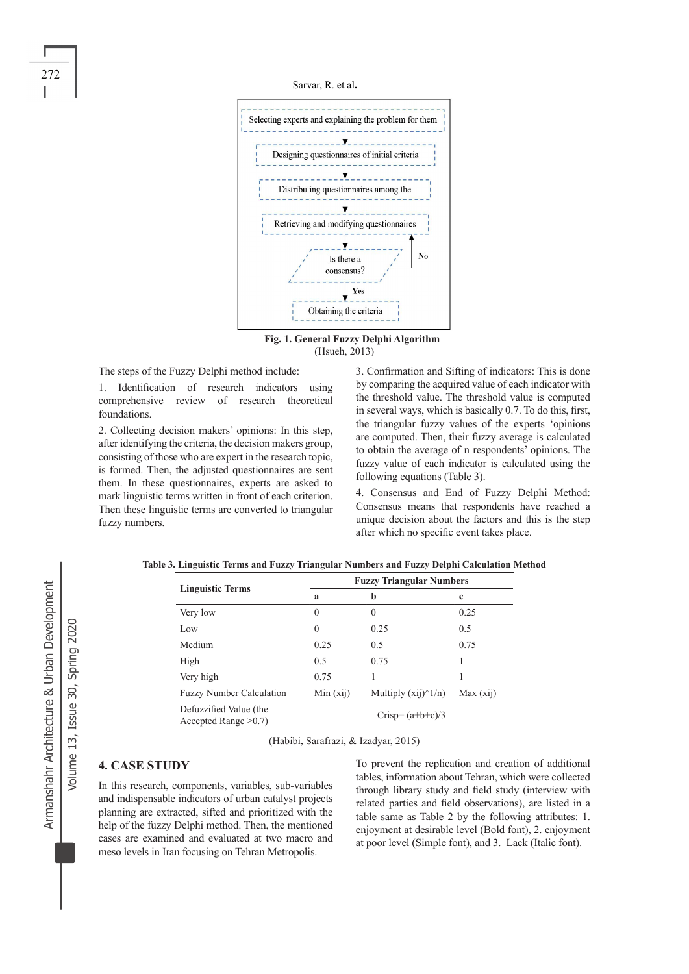

Sarvar, R. et al**.**



 **Fig. 1. General Fuzzy Delphi Algorithm** (Hsueh, 2013)

The steps of the Fuzzy Delphi method include:

1. Identification of research indicators using comprehensive review of research theoretical foundations.

2. Collecting decision makers' opinions: In this step, after identifying the criteria, the decision makers group, consisting of those who are expert in the research topic, is formed. Then, the adjusted questionnaires are sent them. In these questionnaires, experts are asked to mark linguistic terms written in front of each criterion. Then these linguistic terms are converted to triangular fuzzy numbers.

3. Confirmation and Sifting of indicators: This is done by comparing the acquired value of each indicator with the threshold value. The threshold value is computed in several ways, which is basically 0.7. To do this, first, the triangular fuzzy values of the experts 'opinions are computed. Then, their fuzzy average is calculated to obtain the average of n respondents' opinions. The fuzzy value of each indicator is calculated using the following equations (Table 3).

4. Consensus and End of Fuzzy Delphi Method: Consensus means that respondents have reached a unique decision about the factors and this is the step after which no specific event takes place.

|                                                   |              | <b>Fuzzy Triangular Numbers</b> |             |  |  |
|---------------------------------------------------|--------------|---------------------------------|-------------|--|--|
| <b>Linguistic Terms</b>                           | $\mathbf{a}$ | b                               | $\mathbf c$ |  |  |
| Very low                                          | $\theta$     | $\theta$                        | 0.25        |  |  |
| Low                                               | $\theta$     | 0.25                            | 0.5         |  |  |
| Medium                                            | 0.25         | 0.5                             | 0.75        |  |  |
| High                                              | 0.5          | 0.75                            |             |  |  |
| Very high                                         | 0.75         |                                 |             |  |  |
| <b>Fuzzy Number Calculation</b>                   | Min (xij)    | Multiply $(xii)^{\hat{ }}1/n$   | Max (xij)   |  |  |
| Defuzzified Value (the<br>Accepted Range $>0.7$ ) |              | Crisp= $(a+b+c)/3$              |             |  |  |

| Table 3. Linguistic Terms and Fuzzy Triangular Numbers and Fuzzy Delphi Calculation Method |  |  |
|--------------------------------------------------------------------------------------------|--|--|
|--------------------------------------------------------------------------------------------|--|--|

(Habibi, Sarafrazi, & Izadyar, 2015)

# **4. CASE STUDY**

In this research, components, variables, sub-variables and indispensable indicators of urban catalyst projects planning are extracted, sifted and prioritized with the help of the fuzzy Delphi method. Then, the mentioned cases are examined and evaluated at two macro and meso levels in Iran focusing on Tehran Metropolis.

To prevent the replication and creation of additional tables, information about Tehran, which were collected through library study and field study (interview with related parties and field observations), are listed in a table same as Table 2 by the following attributes: 1. enjoyment at desirable level (Bold font), 2. enjoyment at poor level (Simple font), and 3. Lack (Italic font).

Volume 13, Issue 30, Spring 2020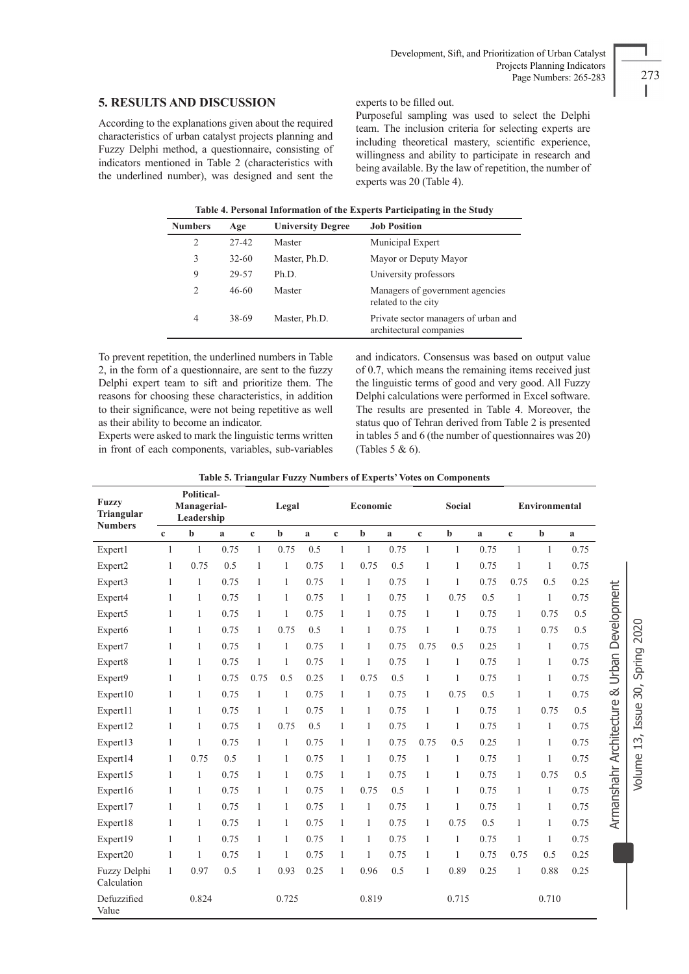## **5. RESULTS AND DISCUSSION**

According to the explanations given about the required characteristics of urban catalyst projects planning and Fuzzy Delphi method, a questionnaire, consisting of indicators mentioned in Table 2 (characteristics with the underlined number), was designed and sent the

experts to be filled out.

Purposeful sampling was used to select the Delphi team. The inclusion criteria for selecting experts are including theoretical mastery, scientific experience, willingness and ability to participate in research and being available. By the law of repetition, the number of experts was 20 (Table 4).

| Table 4. Personal Information of the Experts Participating in the Study |  |
|-------------------------------------------------------------------------|--|
|                                                                         |  |

| <b>Numbers</b> | Age       | <b>University Degree</b> | <b>Job Position</b>                                             |
|----------------|-----------|--------------------------|-----------------------------------------------------------------|
| $\overline{2}$ | 27-42     | Master                   | Municipal Expert                                                |
| 3              | $32 - 60$ | Master, Ph.D.            | Mayor or Deputy Mayor                                           |
| 9              | 29-57     | Ph.D.                    | University professors                                           |
| $\mathcal{L}$  | $46 - 60$ | Master                   | Managers of government agencies<br>related to the city          |
| $\overline{4}$ | 38-69     | Master, Ph.D.            | Private sector managers of urban and<br>architectural companies |

To prevent repetition, the underlined numbers in Table 2, in the form of a questionnaire, are sent to the fuzzy Delphi expert team to sift and prioritize them. The reasons for choosing these characteristics, in addition to their significance, were not being repetitive as well as their ability to become an indicator.

Experts were asked to mark the linguistic terms written in front of each components, variables, sub-variables and indicators. Consensus was based on output value of 0.7, which means the remaining items received just the linguistic terms of good and very good. All Fuzzy Delphi calculations were performed in Excel software. The results are presented in Table 4. Moreover, the status quo of Tehran derived from Table 2 is presented in tables 5 and 6 (the number of questionnaires was 20) (Tables 5 & 6).

|  |  |  | Table 5. Triangular Fuzzy Numbers of Experts' Votes on Components |
|--|--|--|-------------------------------------------------------------------|
|  |  |  |                                                                   |

| <b>Fuzzy</b><br>Triangular  | <b>Political-</b><br>Managerial-<br>Leadership |              | Legal |              | Economic     |      | <b>Social</b> |              |      | <b>Environmental</b> |              |      |              |              |      |
|-----------------------------|------------------------------------------------|--------------|-------|--------------|--------------|------|---------------|--------------|------|----------------------|--------------|------|--------------|--------------|------|
| <b>Numbers</b>              | $\mathbf{c}$                                   | $\mathbf b$  | a     | $\mathbf c$  | $\mathbf b$  | a    | $\mathbf c$   | $\mathbf b$  | a    | $\mathbf c$          | $\mathbf b$  | a    | $\mathbf c$  | $\mathbf b$  | a    |
| Expert1                     | $\mathbf{1}$                                   | $\mathbf{1}$ | 0.75  | $\mathbf{1}$ | 0.75         | 0.5  | $\mathbf{1}$  | $\mathbf{1}$ | 0.75 | $\mathbf{1}$         | 1            | 0.75 | $\mathbf{1}$ | $\mathbf{1}$ | 0.75 |
| Expert2                     | 1                                              | 0.75         | 0.5   | $\mathbf{1}$ | $\mathbf{1}$ | 0.75 | $\mathbf{1}$  | 0.75         | 0.5  | 1                    | 1            | 0.75 | 1            | 1            | 0.75 |
| Expert3                     | 1                                              | 1            | 0.75  | 1            | $\mathbf{1}$ | 0.75 | 1             | 1            | 0.75 | 1                    | 1            | 0.75 | 0.75         | 0.5          | 0.25 |
| Expert4                     | 1                                              | 1            | 0.75  | 1            | 1            | 0.75 | 1             | 1            | 0.75 | 1                    | 0.75         | 0.5  | 1            | 1            | 0.75 |
| Expert5                     | 1                                              | 1            | 0.75  | 1            | $\mathbf{1}$ | 0.75 | $\mathbf{1}$  | 1            | 0.75 | 1                    | $\mathbf{1}$ | 0.75 | 1            | 0.75         | 0.5  |
| Expert6                     | 1                                              | 1            | 0.75  | 1            | 0.75         | 0.5  | $\mathbf{1}$  | 1            | 0.75 | 1                    | 1            | 0.75 | 1            | 0.75         | 0.5  |
| Expert7                     | 1                                              | 1            | 0.75  | 1            | $\mathbf{1}$ | 0.75 | $\mathbf{1}$  | 1            | 0.75 | 0.75                 | 0.5          | 0.25 | 1            | 1            | 0.75 |
| Expert8                     | 1                                              | 1            | 0.75  | 1            | 1            | 0.75 | 1             | 1            | 0.75 | 1                    | 1            | 0.75 | 1            | 1            | 0.75 |
| Expert9                     | 1                                              | 1            | 0.75  | 0.75         | 0.5          | 0.25 | 1             | 0.75         | 0.5  | 1                    | 1            | 0.75 | 1            | 1            | 0.75 |
| Expert10                    | 1                                              | 1            | 0.75  | 1            | $\mathbf{1}$ | 0.75 | 1             | 1            | 0.75 | 1                    | 0.75         | 0.5  | 1            | 1            | 0.75 |
| Expert11                    | 1                                              | 1            | 0.75  | 1            | 1            | 0.75 | $\mathbf{1}$  | 1            | 0.75 | $\mathbf{1}$         | $\mathbf{1}$ | 0.75 | 1            | 0.75         | 0.5  |
| Expert12                    | 1                                              | 1            | 0.75  | 1            | 0.75         | 0.5  | $\mathbf{1}$  | 1            | 0.75 | 1                    | 1            | 0.75 | 1            | 1            | 0.75 |
| Expert13                    | 1                                              | 1            | 0.75  | 1            | $\mathbf{1}$ | 0.75 | $\mathbf{1}$  | 1            | 0.75 | 0.75                 | 0.5          | 0.25 | 1            | 1            | 0.75 |
| Expert14                    | 1                                              | 0.75         | 0.5   | 1            | 1            | 0.75 | 1             | 1            | 0.75 | 1                    | 1            | 0.75 | 1            | 1            | 0.75 |
| Expert15                    | 1                                              | $\mathbf{1}$ | 0.75  | 1            | $\mathbf{1}$ | 0.75 | 1             | $\mathbf{1}$ | 0.75 | 1                    | 1            | 0.75 | 1            | 0.75         | 0.5  |
| Expert16                    | 1                                              | 1            | 0.75  | 1            | 1            | 0.75 | 1             | 0.75         | 0.5  | 1                    | 1            | 0.75 | 1            | 1            | 0.75 |
| Expert17                    | 1                                              | 1            | 0.75  | 1            | 1            | 0.75 | $\mathbf{1}$  | 1            | 0.75 | 1                    | 1            | 0.75 | 1            | 1            | 0.75 |
| Expert18                    | 1                                              | 1            | 0.75  | 1            | 1            | 0.75 | 1             | 1            | 0.75 | 1                    | 0.75         | 0.5  | 1            | 1            | 0.75 |
| Expert19                    | 1                                              | 1            | 0.75  | 1            | $\mathbf{1}$ | 0.75 | $\mathbf{1}$  | 1            | 0.75 | 1                    | $\mathbf{1}$ | 0.75 | 1            | 1            | 0.75 |
| Expert20                    | 1                                              | 1            | 0.75  | 1            | 1            | 0.75 | 1             | 1            | 0.75 | 1                    | 1            | 0.75 | 0.75         | 0.5          | 0.25 |
| Fuzzy Delphi<br>Calculation | $\mathbf{1}$                                   | 0.97         | 0.5   | 1            | 0.93         | 0.25 | $\mathbf{1}$  | 0.96         | 0.5  | 1                    | 0.89         | 0.25 | 1            | 0.88         | 0.25 |
| Defuzzified<br>Value        |                                                | 0.824        |       |              | 0.725        |      |               | 0.819        |      |                      | 0.715        |      |              | 0.710        |      |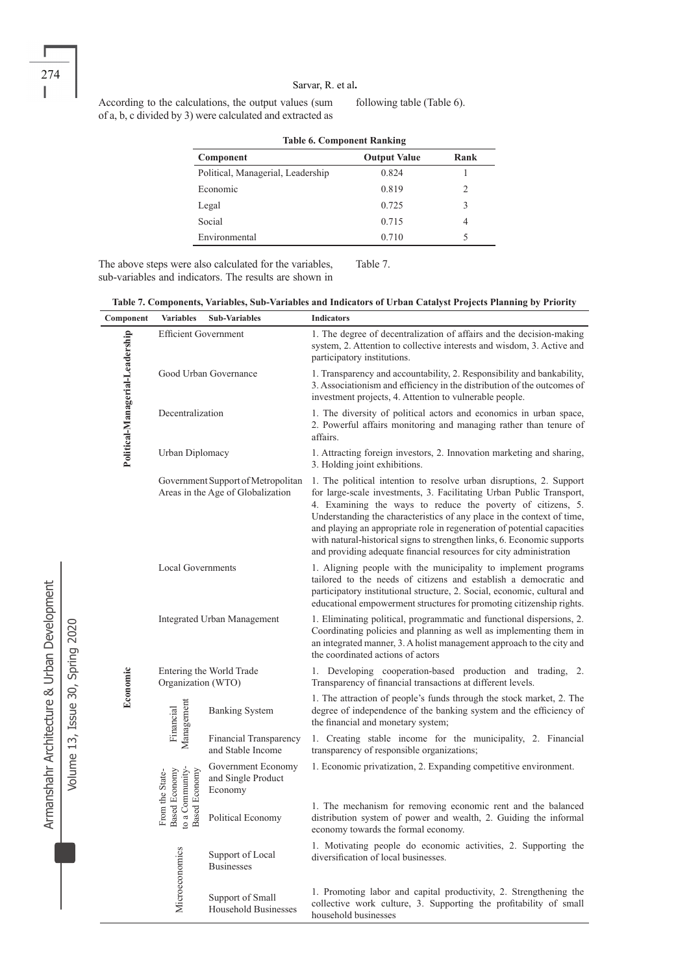According to the calculations, the output values (sum of a, b, c divided by 3) were calculated and extracted as following table (Table 6).

| <b>Table 6. Component Ranking</b> |                     |               |  |  |  |
|-----------------------------------|---------------------|---------------|--|--|--|
| Component                         | <b>Output Value</b> | Rank          |  |  |  |
| Political, Managerial, Leadership | 0.824               |               |  |  |  |
| Economic                          | 0.819               | $\mathcal{L}$ |  |  |  |
| Legal                             | 0.725               | 3             |  |  |  |
| Social                            | 0.715               | 4             |  |  |  |
| Environmental                     | 0.710               | 5             |  |  |  |

The above steps were also calculated for the variables, sub-variables and indicators. The results are shown in Table 7.

|  | Table 7. Components, Variables, Sub-Variables and Indicators of Urban Catalyst Projects Planning by Priority |  |  |
|--|--------------------------------------------------------------------------------------------------------------|--|--|
|  |                                                                                                              |  |  |

| Component                       | <b>Variables</b>                                                                                              | <b>Sub-Variables</b>                                                    | <b>Indicators</b>                                                                                                                                                                                                                                                                                                                                                                                                                                                                                                |
|---------------------------------|---------------------------------------------------------------------------------------------------------------|-------------------------------------------------------------------------|------------------------------------------------------------------------------------------------------------------------------------------------------------------------------------------------------------------------------------------------------------------------------------------------------------------------------------------------------------------------------------------------------------------------------------------------------------------------------------------------------------------|
|                                 | <b>Efficient Government</b>                                                                                   |                                                                         | 1. The degree of decentralization of affairs and the decision-making<br>system, 2. Attention to collective interests and wisdom, 3. Active and<br>participatory institutions.                                                                                                                                                                                                                                                                                                                                    |
|                                 | Good Urban Governance                                                                                         |                                                                         | 1. Transparency and accountability, 2. Responsibility and bankability,<br>3. Associationism and efficiency in the distribution of the outcomes of<br>investment projects, 4. Attention to vulnerable people.                                                                                                                                                                                                                                                                                                     |
| Political-Managerial-Leadership | Decentralization                                                                                              |                                                                         | 1. The diversity of political actors and economics in urban space,<br>2. Powerful affairs monitoring and managing rather than tenure of<br>affairs.                                                                                                                                                                                                                                                                                                                                                              |
|                                 | Urban Diplomacy                                                                                               |                                                                         | 1. Attracting foreign investors, 2. Innovation marketing and sharing,<br>3. Holding joint exhibitions.                                                                                                                                                                                                                                                                                                                                                                                                           |
|                                 |                                                                                                               | Government Support of Metropolitan<br>Areas in the Age of Globalization | 1. The political intention to resolve urban disruptions, 2. Support<br>for large-scale investments, 3. Facilitating Urban Public Transport,<br>4. Examining the ways to reduce the poverty of citizens, 5.<br>Understanding the characteristics of any place in the context of time,<br>and playing an appropriate role in regeneration of potential capacities<br>with natural-historical signs to strengthen links, 6. Economic supports<br>and providing adequate financial resources for city administration |
|                                 | <b>Local Governments</b>                                                                                      |                                                                         | 1. Aligning people with the municipality to implement programs<br>tailored to the needs of citizens and establish a democratic and<br>participatory institutional structure, 2. Social, economic, cultural and<br>educational empowerment structures for promoting citizenship rights.                                                                                                                                                                                                                           |
|                                 |                                                                                                               | <b>Integrated Urban Management</b>                                      | 1. Eliminating political, programmatic and functional dispersions, 2.<br>Coordinating policies and planning as well as implementing them in<br>an integrated manner, 3. A holist management approach to the city and<br>the coordinated actions of actors                                                                                                                                                                                                                                                        |
| Economic                        | Entering the World Trade<br>Organization (WTO)                                                                |                                                                         | 1. Developing cooperation-based production and trading, 2.<br>Transparency of financial transactions at different levels.                                                                                                                                                                                                                                                                                                                                                                                        |
|                                 | Management<br>Financial<br>to a Community-<br><b>Based Economy</b><br><b>Based Economy</b><br>From the State- | <b>Banking System</b>                                                   | 1. The attraction of people's funds through the stock market, 2. The<br>degree of independence of the banking system and the efficiency of<br>the financial and monetary system;                                                                                                                                                                                                                                                                                                                                 |
|                                 |                                                                                                               | <b>Financial Transparency</b><br>and Stable Income                      | 1. Creating stable income for the municipality, 2. Financial<br>transparency of responsible organizations;                                                                                                                                                                                                                                                                                                                                                                                                       |
|                                 |                                                                                                               | Government Economy<br>and Single Product<br>Economy                     | 1. Economic privatization, 2. Expanding competitive environment.                                                                                                                                                                                                                                                                                                                                                                                                                                                 |
|                                 |                                                                                                               | Political Economy                                                       | 1. The mechanism for removing economic rent and the balanced<br>distribution system of power and wealth, 2. Guiding the informal<br>economy towards the formal economy.                                                                                                                                                                                                                                                                                                                                          |
|                                 |                                                                                                               | Support of Local<br><b>Businesses</b>                                   | 1. Motivating people do economic activities, 2. Supporting the<br>diversification of local businesses.                                                                                                                                                                                                                                                                                                                                                                                                           |
|                                 | Microeconomics                                                                                                | Support of Small<br><b>Household Businesses</b>                         | 1. Promoting labor and capital productivity, 2. Strengthening the<br>collective work culture, 3. Supporting the profitability of small<br>household businesses                                                                                                                                                                                                                                                                                                                                                   |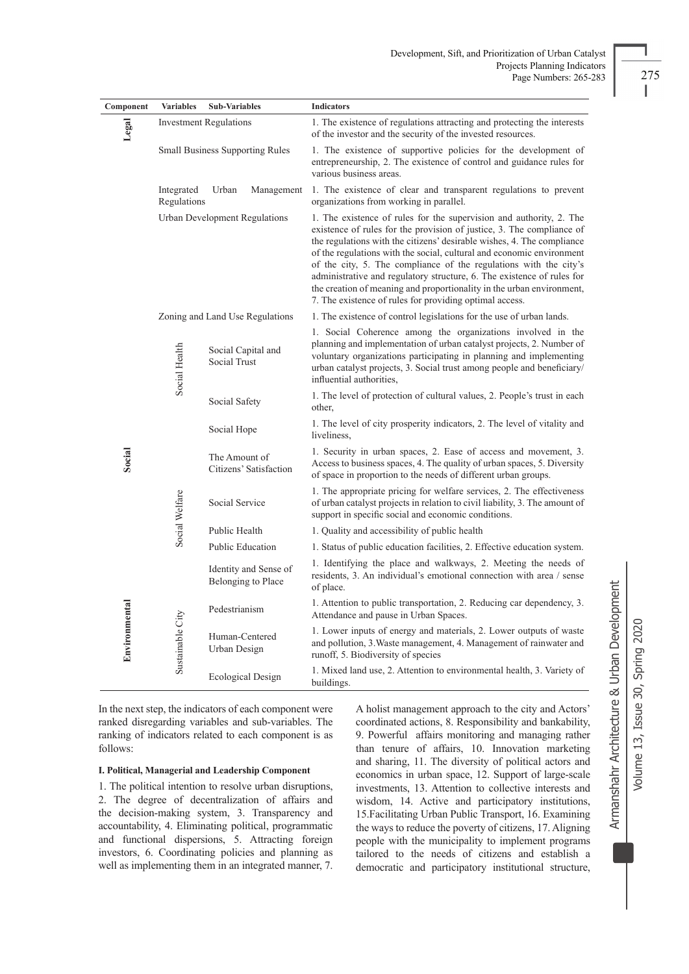| Component     | <b>Variables</b>                   | <b>Sub-Variables</b>                                                                                                                                                                                                                                                                                            | <b>Indicators</b>                                                                                                                                                                                                                                                                                                                                                                                                                                                                                                                                                                  |
|---------------|------------------------------------|-----------------------------------------------------------------------------------------------------------------------------------------------------------------------------------------------------------------------------------------------------------------------------------------------------------------|------------------------------------------------------------------------------------------------------------------------------------------------------------------------------------------------------------------------------------------------------------------------------------------------------------------------------------------------------------------------------------------------------------------------------------------------------------------------------------------------------------------------------------------------------------------------------------|
| Legal         |                                    | <b>Investment Regulations</b>                                                                                                                                                                                                                                                                                   | 1. The existence of regulations attracting and protecting the interests<br>of the investor and the security of the invested resources.                                                                                                                                                                                                                                                                                                                                                                                                                                             |
|               |                                    | <b>Small Business Supporting Rules</b>                                                                                                                                                                                                                                                                          | 1. The existence of supportive policies for the development of<br>entrepreneurship, 2. The existence of control and guidance rules for<br>various business areas.                                                                                                                                                                                                                                                                                                                                                                                                                  |
|               | Integrated<br>Regulations          | Urban<br>Management                                                                                                                                                                                                                                                                                             | 1. The existence of clear and transparent regulations to prevent<br>organizations from working in parallel.                                                                                                                                                                                                                                                                                                                                                                                                                                                                        |
|               | Urban Development Regulations      |                                                                                                                                                                                                                                                                                                                 | 1. The existence of rules for the supervision and authority, 2. The<br>existence of rules for the provision of justice, 3. The compliance of<br>the regulations with the citizens' desirable wishes, 4. The compliance<br>of the regulations with the social, cultural and economic environment<br>of the city, 5. The compliance of the regulations with the city's<br>administrative and regulatory structure, 6. The existence of rules for<br>the creation of meaning and proportionality in the urban environment,<br>7. The existence of rules for providing optimal access. |
|               |                                    | Zoning and Land Use Regulations                                                                                                                                                                                                                                                                                 | 1. The existence of control legislations for the use of urban lands.                                                                                                                                                                                                                                                                                                                                                                                                                                                                                                               |
| Social Health | Social Capital and<br>Social Trust | 1. Social Coherence among the organizations involved in the<br>planning and implementation of urban catalyst projects, 2. Number of<br>voluntary organizations participating in planning and implementing<br>urban catalyst projects, 3. Social trust among people and beneficiary/<br>influential authorities. |                                                                                                                                                                                                                                                                                                                                                                                                                                                                                                                                                                                    |
|               |                                    | Social Safety                                                                                                                                                                                                                                                                                                   | 1. The level of protection of cultural values, 2. People's trust in each<br>other,                                                                                                                                                                                                                                                                                                                                                                                                                                                                                                 |
|               |                                    | Social Hope                                                                                                                                                                                                                                                                                                     | 1. The level of city prosperity indicators, 2. The level of vitality and<br>liveliness.                                                                                                                                                                                                                                                                                                                                                                                                                                                                                            |
| Social        |                                    | The Amount of<br>Citizens' Satisfaction                                                                                                                                                                                                                                                                         | 1. Security in urban spaces, 2. Ease of access and movement, 3.<br>Access to business spaces, 4. The quality of urban spaces, 5. Diversity<br>of space in proportion to the needs of different urban groups.                                                                                                                                                                                                                                                                                                                                                                       |
|               | Social Welfare                     | Social Service                                                                                                                                                                                                                                                                                                  | 1. The appropriate pricing for welfare services, 2. The effectiveness<br>of urban catalyst projects in relation to civil liability, 3. The amount of<br>support in specific social and economic conditions.                                                                                                                                                                                                                                                                                                                                                                        |
|               |                                    | Public Health                                                                                                                                                                                                                                                                                                   | 1. Quality and accessibility of public health                                                                                                                                                                                                                                                                                                                                                                                                                                                                                                                                      |
|               |                                    | <b>Public Education</b>                                                                                                                                                                                                                                                                                         | 1. Status of public education facilities, 2. Effective education system.                                                                                                                                                                                                                                                                                                                                                                                                                                                                                                           |
|               |                                    | Identity and Sense of<br>Belonging to Place                                                                                                                                                                                                                                                                     | 1. Identifying the place and walkways, 2. Meeting the needs of<br>residents, 3. An individual's emotional connection with area / sense<br>of place.                                                                                                                                                                                                                                                                                                                                                                                                                                |
|               |                                    | Pedestrianism                                                                                                                                                                                                                                                                                                   | 1. Attention to public transportation, 2. Reducing car dependency, 3.<br>Attendance and pause in Urban Spaces.                                                                                                                                                                                                                                                                                                                                                                                                                                                                     |
| Environmental | Sustainable City                   | Human-Centered<br>Urban Design                                                                                                                                                                                                                                                                                  | 1. Lower inputs of energy and materials, 2. Lower outputs of waste<br>and pollution, 3. Waste management, 4. Management of rainwater and<br>runoff, 5. Biodiversity of species                                                                                                                                                                                                                                                                                                                                                                                                     |
|               |                                    | <b>Ecological Design</b>                                                                                                                                                                                                                                                                                        | 1. Mixed land use, 2. Attention to environmental health, 3. Variety of<br>buildings.                                                                                                                                                                                                                                                                                                                                                                                                                                                                                               |

In the next step, the indicators of each component were ranked disregarding variables and sub-variables. The ranking of indicators related to each component is as follows:

## **I. Political, Managerial and Leadership Component**

1. The political intention to resolve urban disruptions, 2. The degree of decentralization of affairs and the decision-making system, 3. Transparency and accountability, 4. Eliminating political, programmatic and functional dispersions, 5. Attracting foreign investors, 6. Coordinating policies and planning as well as implementing them in an integrated manner, 7. A holist management approach to the city and Actors' coordinated actions, 8. Responsibility and bankability, 9. Powerful affairs monitoring and managing rather than tenure of affairs, 10. Innovation marketing and sharing, 11. The diversity of political actors and economics in urban space, 12. Support of large-scale investments, 13. Attention to collective interests and wisdom, 14. Active and participatory institutions, 15.Facilitating Urban Public Transport, 16. Examining the ways to reduce the poverty of citizens, 17. Aligning people with the municipality to implement programs tailored to the needs of citizens and establish a democratic and participatory institutional structure, Armanshahr Architecture & Urban Development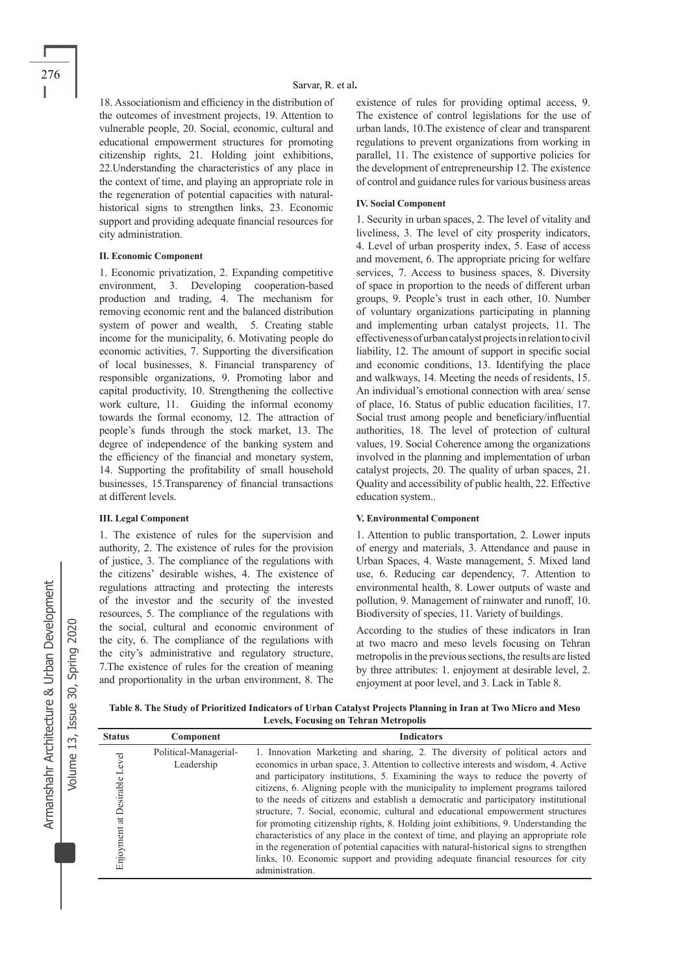18. Associationism and efficiency in the distribution of the outcomes of investment projects, 19. Attention to vulnerable people, 20. Social, economic, cultural and educational empowerment structures for promoting citizenship rights, 21. Holding joint exhibitions, 22.Understanding the characteristics of any place in the context of time, and playing an appropriate role in the regeneration of potential capacities with naturalhistorical signs to strengthen links, 23. Economic support and providing adequate financial resources for city administration.

#### **II. Economic Component**

1. Economic privatization, 2. Expanding competitive environment, 3. Developing cooperation-based production and trading, 4. The mechanism for removing economic rent and the balanced distribution system of power and wealth, 5. Creating stable income for the municipality, 6. Motivating people do economic activities, 7. Supporting the diversification of local businesses, 8. Financial transparency of responsible organizations, 9. Promoting labor and capital productivity, 10. Strengthening the collective work culture, 11. Guiding the informal economy towards the formal economy, 12. The attraction of people's funds through the stock market, 13. The degree of independence of the banking system and the efficiency of the financial and monetary system, 14. Supporting the profitability of small household businesses, 15.Transparency of financial transactions at different levels.

#### **III. Legal Component**

1. The existence of rules for the supervision and authority, 2. The existence of rules for the provision of justice, 3. The compliance of the regulations with the citizens' desirable wishes, 4. The existence of regulations attracting and protecting the interests of the investor and the security of the invested resources, 5. The compliance of the regulations with the social, cultural and economic environment of the city, 6. The compliance of the regulations with the city's administrative and regulatory structure, 7.The existence of rules for the creation of meaning and proportionality in the urban environment, 8. The existence of rules for providing optimal access, 9. The existence of control legislations for the use of urban lands, 10.The existence of clear and transparent regulations to prevent organizations from working in parallel, 11. The existence of supportive policies for the development of entrepreneurship 12. The existence of control and guidance rules for various business areas

#### **IV. Social Component**

1. Security in urban spaces, 2. The level of vitality and liveliness, 3. The level of city prosperity indicators, 4. Level of urban prosperity index, 5. Ease of access and movement, 6. The appropriate pricing for welfare services, 7. Access to business spaces, 8. Diversity of space in proportion to the needs of different urban groups, 9. People's trust in each other, 10. Number of voluntary organizations participating in planning and implementing urban catalyst projects, 11. The effectiveness of urban catalyst projects in relation to civil liability, 12. The amount of support in specific social and economic conditions, 13. Identifying the place and walkways, 14. Meeting the needs of residents, 15. An individual's emotional connection with area/ sense of place, 16. Status of public education facilities, 17. Social trust among people and beneficiary/influential authorities, 18. The level of protection of cultural values, 19. Social Coherence among the organizations involved in the planning and implementation of urban catalyst projects, 20. The quality of urban spaces, 21. Quality and accessibility of public health, 22. Effective education system..

#### **V. Environmental Component**

1. Attention to public transportation, 2. Lower inputs of energy and materials, 3. Attendance and pause in Urban Spaces, 4. Waste management, 5. Mixed land use, 6. Reducing car dependency, 7. Attention to environmental health, 8. Lower outputs of waste and pollution, 9. Management of rainwater and runoff, 10. Biodiversity of species, 11. Variety of buildings.

According to the studies of these indicators in Iran at two macro and meso levels focusing on Tehran metropolis in the previous sections, the results are listed by three attributes: 1. enjoyment at desirable level, 2. enjoyment at poor level, and 3. Lack in Table 8.

**Table 8. The Study of Prioritized Indicators of Urban Catalyst Projects Planning in Iran at Two Micro and Meso Levels, Focusing on Tehran Metropolis**

| <b>Status</b>                   | Component                           | <b>Indicators</b>                                                                                                                                                                                                                                                                                                                                                                                                                                                                                                                                                                                                                                                                                                                                                                                                                                                                                       |
|---------------------------------|-------------------------------------|---------------------------------------------------------------------------------------------------------------------------------------------------------------------------------------------------------------------------------------------------------------------------------------------------------------------------------------------------------------------------------------------------------------------------------------------------------------------------------------------------------------------------------------------------------------------------------------------------------------------------------------------------------------------------------------------------------------------------------------------------------------------------------------------------------------------------------------------------------------------------------------------------------|
| at Desirable Level<br>Enjoyment | Political-Managerial-<br>Leadership | 1. Innovation Marketing and sharing, 2. The diversity of political actors and<br>economics in urban space, 3. Attention to collective interests and wisdom, 4. Active<br>and participatory institutions, 5. Examining the ways to reduce the poverty of<br>citizens, 6. Aligning people with the municipality to implement programs tailored<br>to the needs of citizens and establish a democratic and participatory institutional<br>structure, 7. Social, economic, cultural and educational empowerment structures<br>for promoting citizenship rights, 8. Holding joint exhibitions, 9. Understanding the<br>characteristics of any place in the context of time, and playing an appropriate role<br>in the regeneration of potential capacities with natural-historical signs to strengthen<br>links, 10. Economic support and providing adequate financial resources for city<br>administration. |

Volume 13, Issue 30, Spring 2020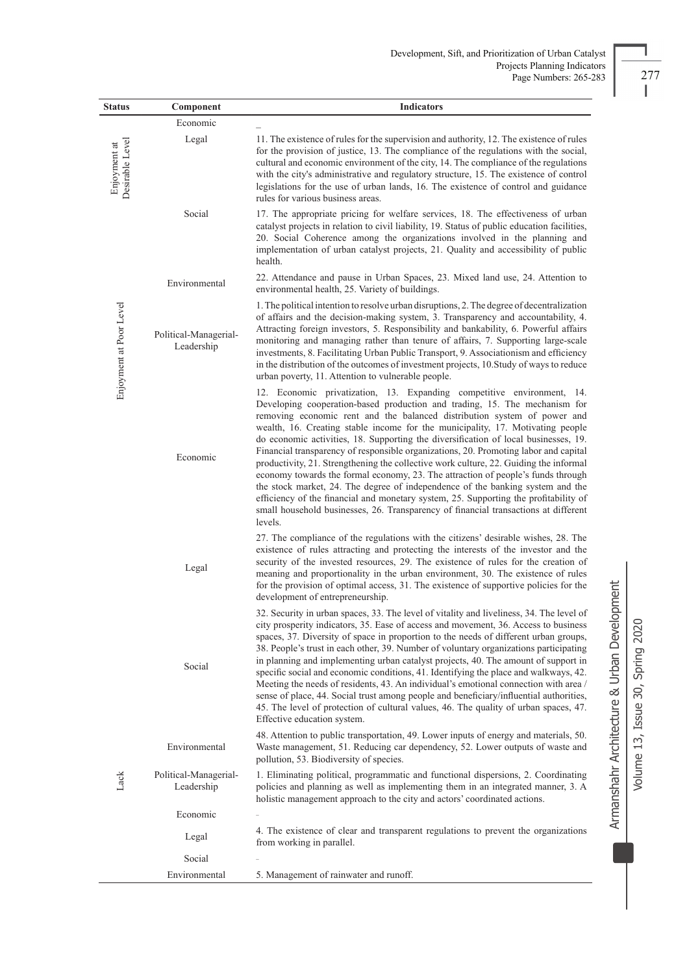| <b>Status</b>                   | Component                           | <b>Indicators</b>                                                                                                                                                                                                                                                                                                                                                                                                                                                                                                                                                                                                                                                                                                                                                                                                                                                                                                                                          |
|---------------------------------|-------------------------------------|------------------------------------------------------------------------------------------------------------------------------------------------------------------------------------------------------------------------------------------------------------------------------------------------------------------------------------------------------------------------------------------------------------------------------------------------------------------------------------------------------------------------------------------------------------------------------------------------------------------------------------------------------------------------------------------------------------------------------------------------------------------------------------------------------------------------------------------------------------------------------------------------------------------------------------------------------------|
|                                 | Economic                            |                                                                                                                                                                                                                                                                                                                                                                                                                                                                                                                                                                                                                                                                                                                                                                                                                                                                                                                                                            |
| Enjoyment at<br>Desirable Level | Legal                               | 11. The existence of rules for the supervision and authority, 12. The existence of rules<br>for the provision of justice, 13. The compliance of the regulations with the social,<br>cultural and economic environment of the city, 14. The compliance of the regulations<br>with the city's administrative and regulatory structure, 15. The existence of control<br>legislations for the use of urban lands, 16. The existence of control and guidance<br>rules for various business areas.                                                                                                                                                                                                                                                                                                                                                                                                                                                               |
|                                 | Social                              | 17. The appropriate pricing for welfare services, 18. The effectiveness of urban<br>catalyst projects in relation to civil liability, 19. Status of public education facilities,<br>20. Social Coherence among the organizations involved in the planning and<br>implementation of urban catalyst projects, 21. Quality and accessibility of public<br>health.                                                                                                                                                                                                                                                                                                                                                                                                                                                                                                                                                                                             |
|                                 | Environmental                       | 22. Attendance and pause in Urban Spaces, 23. Mixed land use, 24. Attention to<br>environmental health, 25. Variety of buildings.                                                                                                                                                                                                                                                                                                                                                                                                                                                                                                                                                                                                                                                                                                                                                                                                                          |
| Enjoyment at Poor Level         | Political-Managerial-<br>Leadership | 1. The political intention to resolve urban disruptions, 2. The degree of decentralization<br>of affairs and the decision-making system, 3. Transparency and accountability, 4.<br>Attracting foreign investors, 5. Responsibility and bankability, 6. Powerful affairs<br>monitoring and managing rather than tenure of affairs, 7. Supporting large-scale<br>investments, 8. Facilitating Urban Public Transport, 9. Associationism and efficiency<br>in the distribution of the outcomes of investment projects, 10. Study of ways to reduce<br>urban poverty, 11. Attention to vulnerable people.                                                                                                                                                                                                                                                                                                                                                      |
|                                 | Economic                            | 12. Economic privatization, 13. Expanding competitive environment, 14.<br>Developing cooperation-based production and trading, 15. The mechanism for<br>removing economic rent and the balanced distribution system of power and<br>wealth, 16. Creating stable income for the municipality, 17. Motivating people<br>do economic activities, 18. Supporting the diversification of local businesses, 19.<br>Financial transparency of responsible organizations, 20. Promoting labor and capital<br>productivity, 21. Strengthening the collective work culture, 22. Guiding the informal<br>economy towards the formal economy, 23. The attraction of people's funds through<br>the stock market, 24. The degree of independence of the banking system and the<br>efficiency of the financial and monetary system, 25. Supporting the profitability of<br>small household businesses, 26. Transparency of financial transactions at different<br>levels. |
|                                 | Legal                               | 27. The compliance of the regulations with the citizens' desirable wishes, 28. The<br>existence of rules attracting and protecting the interests of the investor and the<br>security of the invested resources, 29. The existence of rules for the creation of<br>meaning and proportionality in the urban environment, 30. The existence of rules<br>for the provision of optimal access, 31. The existence of supportive policies for the<br>development of entrepreneurship.                                                                                                                                                                                                                                                                                                                                                                                                                                                                            |
|                                 | Social                              | 32. Security in urban spaces, 33. The level of vitality and liveliness, 34. The level of<br>city prosperity indicators, 35. Ease of access and movement, 36. Access to business<br>spaces, 37. Diversity of space in proportion to the needs of different urban groups,<br>38. People's trust in each other, 39. Number of voluntary organizations participating<br>in planning and implementing urban catalyst projects, 40. The amount of support in<br>specific social and economic conditions, 41. Identifying the place and walkways, 42.<br>Meeting the needs of residents, 43. An individual's emotional connection with area /<br>sense of place, 44. Social trust among people and beneficiary/influential authorities,<br>45. The level of protection of cultural values, 46. The quality of urban spaces, 47.<br>Effective education system.                                                                                                    |
|                                 | Environmental                       | 48. Attention to public transportation, 49. Lower inputs of energy and materials, 50.<br>Waste management, 51. Reducing car dependency, 52. Lower outputs of waste and<br>pollution, 53. Biodiversity of species.                                                                                                                                                                                                                                                                                                                                                                                                                                                                                                                                                                                                                                                                                                                                          |
| Lack                            | Political-Managerial-<br>Leadership | 1. Eliminating political, programmatic and functional dispersions, 2. Coordinating<br>policies and planning as well as implementing them in an integrated manner, 3. A<br>holistic management approach to the city and actors' coordinated actions.                                                                                                                                                                                                                                                                                                                                                                                                                                                                                                                                                                                                                                                                                                        |
|                                 | Economic                            |                                                                                                                                                                                                                                                                                                                                                                                                                                                                                                                                                                                                                                                                                                                                                                                                                                                                                                                                                            |
|                                 | Legal                               | 4. The existence of clear and transparent regulations to prevent the organizations<br>from working in parallel.                                                                                                                                                                                                                                                                                                                                                                                                                                                                                                                                                                                                                                                                                                                                                                                                                                            |
|                                 | Social                              |                                                                                                                                                                                                                                                                                                                                                                                                                                                                                                                                                                                                                                                                                                                                                                                                                                                                                                                                                            |
|                                 | Environmental                       | 5. Management of rainwater and runoff.                                                                                                                                                                                                                                                                                                                                                                                                                                                                                                                                                                                                                                                                                                                                                                                                                                                                                                                     |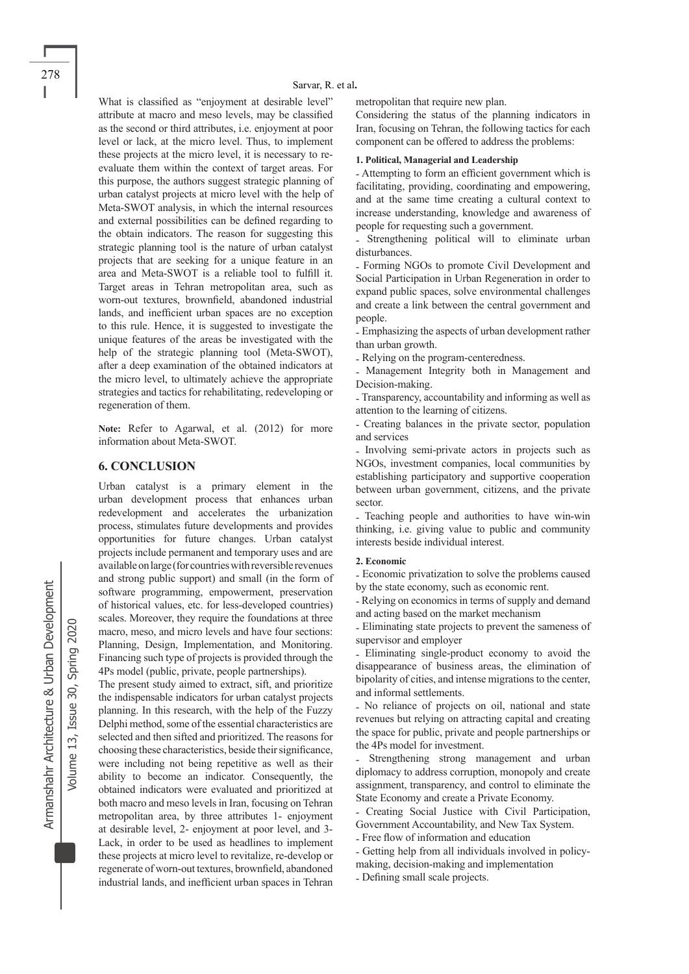What is classified as "enjoyment at desirable level" attribute at macro and meso levels, may be classified as the second or third attributes, i.e. enjoyment at poor level or lack, at the micro level. Thus, to implement these projects at the micro level, it is necessary to reevaluate them within the context of target areas. For this purpose, the authors suggest strategic planning of urban catalyst projects at micro level with the help of Meta-SWOT analysis, in which the internal resources and external possibilities can be defined regarding to the obtain indicators. The reason for suggesting this strategic planning tool is the nature of urban catalyst projects that are seeking for a unique feature in an area and Meta-SWOT is a reliable tool to fulfill it. Target areas in Tehran metropolitan area, such as worn-out textures, brownfield, abandoned industrial lands, and inefficient urban spaces are no exception to this rule. Hence, it is suggested to investigate the unique features of the areas be investigated with the help of the strategic planning tool (Meta-SWOT), after a deep examination of the obtained indicators at the micro level, to ultimately achieve the appropriate strategies and tactics for rehabilitating, redeveloping or regeneration of them.

**Note:** Refer to Agarwal, et al. (2012) for more information about Meta-SWOT.

## **6. CONCLUSION**

Urban catalyst is a primary element in the urban development process that enhances urban redevelopment and accelerates the urbanization process, stimulates future developments and provides opportunities for future changes. Urban catalyst projects include permanent and temporary uses and are available on large (for countries with reversible revenues and strong public support) and small (in the form of software programming, empowerment, preservation of historical values, etc. for less-developed countries) scales. Moreover, they require the foundations at three macro, meso, and micro levels and have four sections: Planning, Design, Implementation, and Monitoring. Financing such type of projects is provided through the 4Ps model (public, private, people partnerships).

The present study aimed to extract, sift, and prioritize the indispensable indicators for urban catalyst projects planning. In this research, with the help of the Fuzzy Delphi method, some of the essential characteristics are selected and then sifted and prioritized. The reasons for choosing these characteristics, beside their significance, were including not being repetitive as well as their ability to become an indicator. Consequently, the obtained indicators were evaluated and prioritized at both macro and meso levels in Iran, focusing on Tehran metropolitan area, by three attributes 1- enjoyment at desirable level, 2- enjoyment at poor level, and 3- Lack, in order to be used as headlines to implement these projects at micro level to revitalize, re-develop or regenerate of worn-out textures, brownfield, abandoned industrial lands, and inefficient urban spaces in Tehran

metropolitan that require new plan.

Considering the status of the planning indicators in Iran, focusing on Tehran, the following tactics for each component can be offered to address the problems:

## **1. Political, Managerial and Leadership**

- Attempting to form an efficient government which is facilitating, providing, coordinating and empowering, and at the same time creating a cultural context to increase understanding, knowledge and awareness of people for requesting such a government.

- Strengthening political will to eliminate urban disturbances.

- Forming NGOs to promote Civil Development and Social Participation in Urban Regeneration in order to expand public spaces, solve environmental challenges and create a link between the central government and people.

- Emphasizing the aspects of urban development rather than urban growth.

- Relying on the program-centeredness.

- Management Integrity both in Management and Decision-making.

- Transparency, accountability and informing as well as attention to the learning of citizens.

- Creating balances in the private sector, population and services

- Involving semi-private actors in projects such as NGOs, investment companies, local communities by establishing participatory and supportive cooperation between urban government, citizens, and the private sector.

- Teaching people and authorities to have win-win thinking, i.e. giving value to public and community interests beside individual interest.

#### **2. Economic**

- Economic privatization to solve the problems caused by the state economy, such as economic rent.

- Relying on economics in terms of supply and demand and acting based on the market mechanism

- Eliminating state projects to prevent the sameness of supervisor and employer

- Eliminating single-product economy to avoid the disappearance of business areas, the elimination of bipolarity of cities, and intense migrations to the center, and informal settlements.

- No reliance of projects on oil, national and state revenues but relying on attracting capital and creating the space for public, private and people partnerships or the 4Ps model for investment.

Strengthening strong management and urban diplomacy to address corruption, monopoly and create assignment, transparency, and control to eliminate the State Economy and create a Private Economy.

- Creating Social Justice with Civil Participation, Government Accountability, and New Tax System.

- Free flow of information and education

- Getting help from all individuals involved in policymaking, decision-making and implementation

- Defining small scale projects.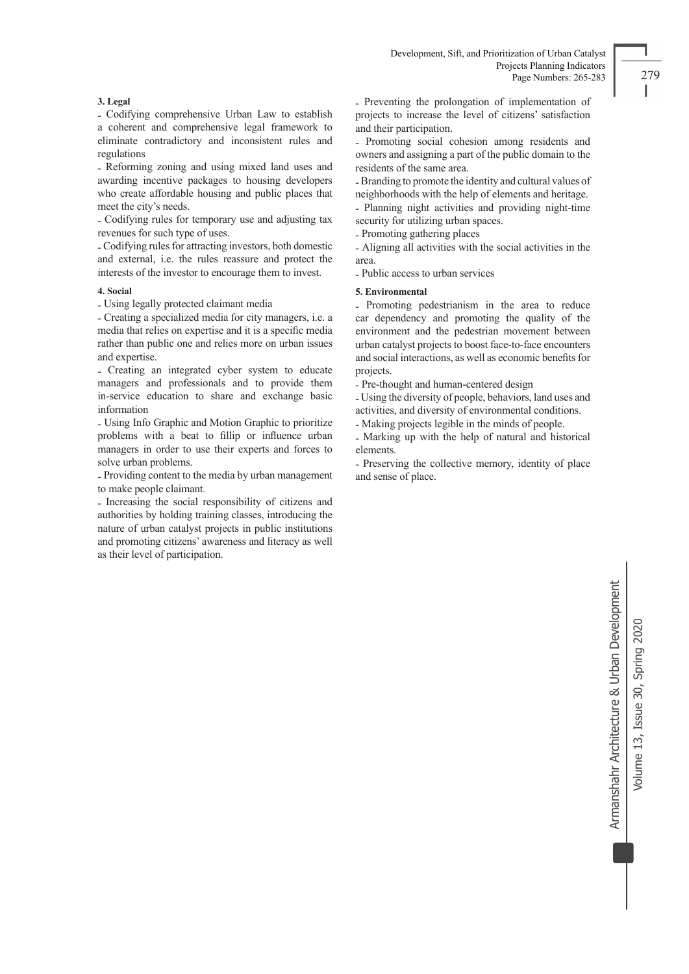# **3. Legal**

- Codifying comprehensive Urban Law to establish a coherent and comprehensive legal framework to eliminate contradictory and inconsistent rules and regulations

- Reforming zoning and using mixed land uses and awarding incentive packages to housing developers who create affordable housing and public places that meet the city's needs.

- Codifying rules for temporary use and adjusting tax revenues for such type of uses.

- Codifying rules for attracting investors, both domestic and external, i.e. the rules reassure and protect the interests of the investor to encourage them to invest.

### **4. Social**

- Using legally protected claimant media

- Creating a specialized media for city managers, i.e. a media that relies on expertise and it is a specific media rather than public one and relies more on urban issues and expertise.

- Creating an integrated cyber system to educate managers and professionals and to provide them in-service education to share and exchange basic information

- Using Info Graphic and Motion Graphic to prioritize problems with a beat to fillip or influence urban managers in order to use their experts and forces to solve urban problems.

- Providing content to the media by urban management to make people claimant.

- Increasing the social responsibility of citizens and authorities by holding training classes, introducing the nature of urban catalyst projects in public institutions and promoting citizens' awareness and literacy as well as their level of participation.

- Preventing the prolongation of implementation of projects to increase the level of citizens' satisfaction and their participation.

- Promoting social cohesion among residents and owners and assigning a part of the public domain to the residents of the same area.

- Branding to promote the identity and cultural values of neighborhoods with the help of elements and heritage.

- Planning night activities and providing night-time security for utilizing urban spaces.

- Promoting gathering places

- Aligning all activities with the social activities in the area.

- Public access to urban services

## **5. Environmental**

- Promoting pedestrianism in the area to reduce car dependency and promoting the quality of the environment and the pedestrian movement between urban catalyst projects to boost face-to-face encounters and social interactions, as well as economic benefits for projects.

- Pre-thought and human-centered design

- Using the diversity of people, behaviors, land uses and activities, and diversity of environmental conditions.

- Making projects legible in the minds of people.

- Marking up with the help of natural and historical elements.

- Preserving the collective memory, identity of place and sense of place.

> Armanshahr Architecture & Urban Development Armanshahr Architecture & Urban Development Volume 13, Issue 30, Spring 2020 Volume 13, Issue 30, Spring 2020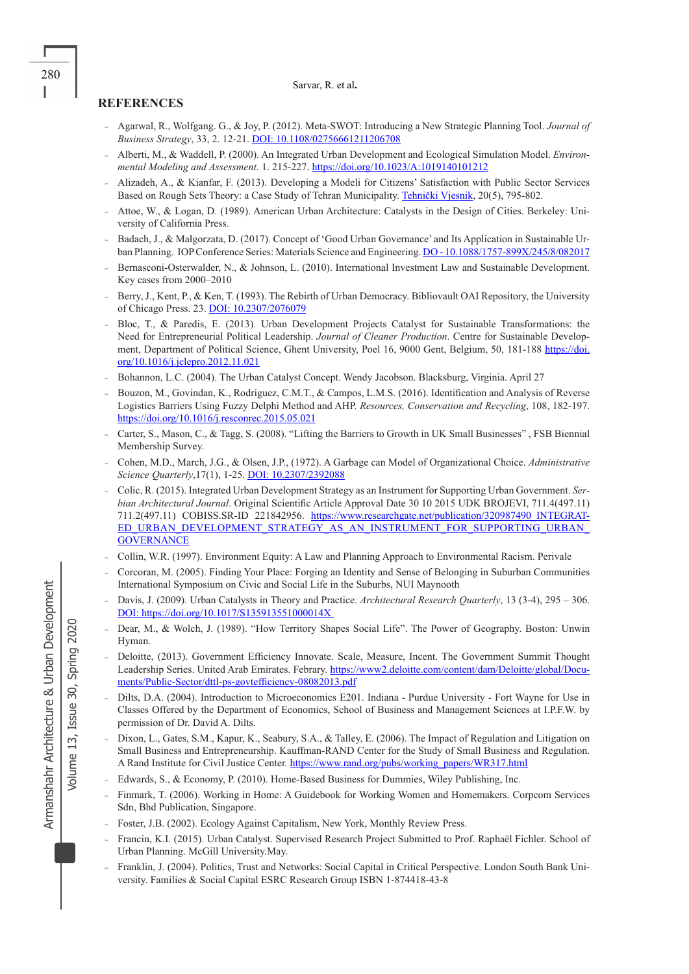## **REFERENCES**

- Agarwal, R., Wolfgang. G., & Joy, P. (2012). Meta-SWOT: Introducing a New Strategic Planning Tool. *Journal of Business Strategy*, 33, 2. 12-21. DOI: 10.1108/02756661211206708
- Alberti, M., & Waddell, P. (2000). An Integrated Urban Development and Ecological Simulation Model. *Environmental Modeling and Assessment*. 1. 215-227. https://doi.org/10.1023/A:1019140101212
- Alizadeh, A., & Kianfar, F. (2013). Developing a Modeli for Citizens' Satisfaction with Public Sector Services Based on Rough Sets Theory: a Case Study of Tehran Municipality. Tehnički Vjesnik, 20(5), 795-802.
- Attoe, W., & Logan, D. (1989). American Urban Architecture: Catalysts in the Design of Cities. Berkeley: University of California Press.
- Badach, J., & Małgorzata, D. (2017). Concept of 'Good Urban Governance' and Its Application in Sustainable Urban Planning. IOP Conference Series: Materials Science and Engineering. DO - 10.1088/1757-899X/245/8/082017
- Bernasconi-Osterwalder, N., & Johnson, L. (2010). International Investment Law and Sustainable Development. Key cases from 2000–2010
- Berry, J., Kent, P., & Ken, T. (1993). The Rebirth of Urban Democracy. Bibliovault OAI Repository, the University of Chicago Press. 23. DOI: 10.2307/2076079
- Bloc, T., & Paredis, E. (2013). Urban Development Projects Catalyst for Sustainable Transformations: the Need for Entrepreneurial Political Leadership. *Journal of Cleaner Production*. Centre for Sustainable Development, Department of Political Science, Ghent University, Poel 16, 9000 Gent, Belgium, 50, 181-188 https://doi. org/10.1016/j.jclepro.2012.11.021
- Bohannon, L.C. (2004). The Urban Catalyst Concept. Wendy Jacobson. Blacksburg, Virginia. April 27
- Bouzon, M., Govindan, K., Rodriguez, C.M.T., & Campos, L.M.S. (2016). Identification and Analysis of Reverse Logistics Barriers Using Fuzzy Delphi Method and AHP. *Resources, Conservation and Recycling*, 108, 182-197. https://doi.org/10.1016/j.resconrec.2015.05.021
- Carter, S., Mason, C., & Tagg, S. (2008). "Lifting the Barriers to Growth in UK Small Businesses" , FSB Biennial Membership Survey.
- Cohen, M.D., March, J.G., & Olsen, J.P., (1972). A Garbage can Model of Organizational Choice. *Administrative Science Quarterly*,17(1), 1-25. DOI: 10.2307/2392088
- Colic, R. (2015). Integrated Urban Development Strategy as an Instrument for Supporting Urban Government. *Serbian Architectural Journal*. Original Scientific Article Approval Date 30 10 2015 UDK BROJEVI, 711.4(497.11) 711.2(497.11) COBISS.SR-ID 221842956. https://www.researchgate.net/publication/320987490\_INTEGRAT-ED\_URBAN\_DEVELOPMENT\_STRATEGY\_AS\_AN\_INSTRUMENT\_FOR\_SUPPORTING\_URBAN\_ **GOVERNANCE**
- Collin, W.R. (1997). Environment Equity: A Law and Planning Approach to Environmental Racism. Perivale
- Corcoran, M. (2005). Finding Your Place: Forging an Identity and Sense of Belonging in Suburban Communities International Symposium on Civic and Social Life in the Suburbs, NUI Maynooth
- Davis, J. (2009). Urban Catalysts in Theory and Practice. *Architectural Research Quarterly*, 13 (3-4), 295 306. DOI: https://doi.org/10.1017/S135913551000014X
- Dear, M., & Wolch, J. (1989). "How Territory Shapes Social Life". The Power of Geography. Boston: Unwin Hyman.
- Deloitte, (2013). Government Efficiency Innovate. Scale, Measure, Incent. The Government Summit Thought Leadership Series. United Arab Emirates. Febrary. https://www2.deloitte.com/content/dam/Deloitte/global/Documents/Public-Sector/dttl-ps-govtefficiency-08082013.pdf
- Dilts, D.A. (2004). Introduction to Microeconomics E201. Indiana Purdue University Fort Wayne for Use in Classes Offered by the Department of Economics, School of Business and Management Sciences at I.P.F.W. by permission of Dr. David A. Dilts.
- Dixon, L., Gates, S.M., Kapur, K., Seabury, S.A., & Talley, E. (2006). The Impact of Regulation and Litigation on Small Business and Entrepreneurship. Kauffman-RAND Center for the Study of Small Business and Regulation. A Rand Institute for Civil Justice Center. https://www.rand.org/pubs/working\_papers/WR317.html
- Edwards, S., & Economy, P. (2010). Home-Based Business for Dummies, Wiley Publishing, Inc.
- Finmark, T. (2006). Working in Home: A Guidebook for Working Women and Homemakers. Corpcom Services Sdn, Bhd Publication, Singapore.
- Foster, J.B. (2002). Ecology Against Capitalism, New York, Monthly Review Press.
- Francin, K.I. (2015). Urban Catalyst. Supervised Research Project Submitted to Prof. Raphaël Fichler. School of Urban Planning. McGill University.May.
- Franklin, J. (2004). Politics, Trust and Networks: Social Capital in Critical Perspective. London South Bank University. Families & Social Capital ESRC Research Group ISBN 1-874418-43-8

Volume 13, Issue 30, Spring 2020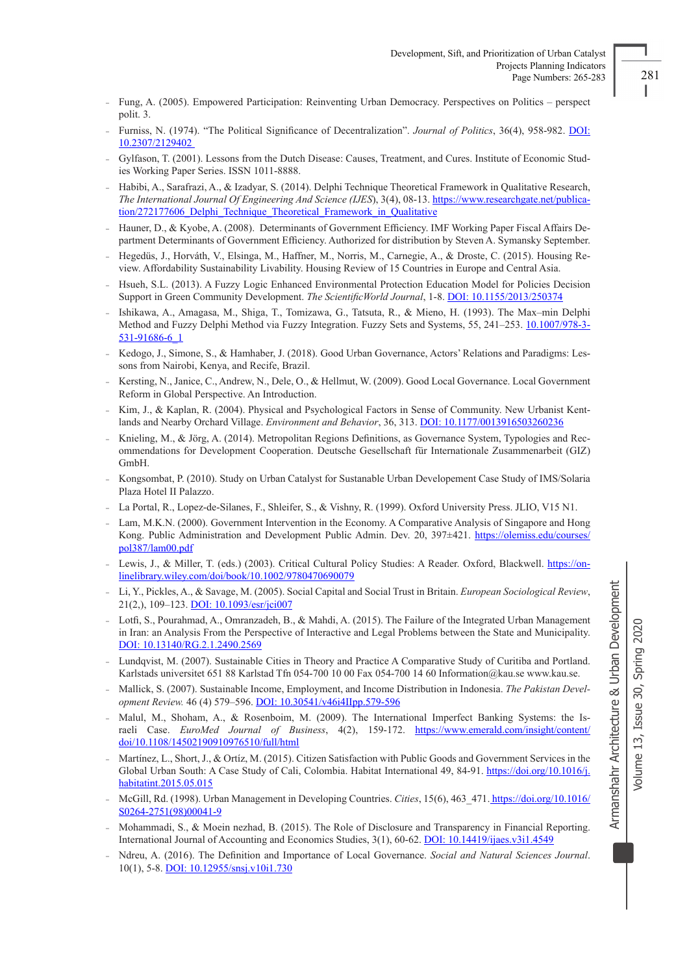- ı
- Fung, A. (2005). Empowered Participation: Reinventing Urban Democracy. Perspectives on Politics perspect polit. 3.
- Furniss, N. (1974). "The Political Significance of Decentralization". *Journal of Politics*, 36(4), 958-982. DOI: 10.2307/2129402
- Gylfason, T. (2001). Lessons from the Dutch Disease: Causes, Treatment, and Cures. Institute of Economic Studies Working Paper Series. ISSN 1011-8888.
- Habibi, A., Sarafrazi, A., & Izadyar, S. (2014). Delphi Technique Theoretical Framework in Qualitative Research, *The International Journal Of Engineering And Science (IJES*), 3(4), 08-13. https://www.researchgate.net/publication/272177606 Delphi\_Technique\_Theoretical\_Framework\_in\_Qualitative
- Hauner, D., & Kyobe, A. (2008). Determinants of Government Efficiency. IMF Working Paper Fiscal Affairs Department Determinants of Government Efficiency. Authorized for distribution by Steven A. Symansky September.
- Hegedüs, J., Horváth, V., Elsinga, M., Haffner, M., Norris, M., Carnegie, A., & Droste, C. (2015). Housing Review. Affordability Sustainability Livability. Housing Review of 15 Countries in Europe and Central Asia.
- Hsueh, S.L. (2013). A Fuzzy Logic Enhanced Environmental Protection Education Model for Policies Decision Support in Green Community Development. *The ScientificWorld Journal*, 1-8. DOI: 10.1155/2013/250374
- Ishikawa, A., Amagasa, M., Shiga, T., Tomizawa, G., Tatsuta, R., & Mieno, H. (1993). The Max–min Delphi Method and Fuzzy Delphi Method via Fuzzy Integration. Fuzzy Sets and Systems, 55, 241–253. 10.1007/978-3- 531-91686-6\_1
- Kedogo, J., Simone, S., & Hamhaber, J. (2018). Good Urban Governance, Actors' Relations and Paradigms: Lessons from Nairobi, Kenya, and Recife, Brazil.
- Kersting, N., Janice, C., Andrew, N., Dele, O., & Hellmut, W. (2009). Good Local Governance. Local Government Reform in Global Perspective. An Introduction.
- Kim, J., & Kaplan, R. (2004). Physical and Psychological Factors in Sense of Community. New Urbanist Kentlands and Nearby Orchard Village. *Environment and Behavior*, 36, 313. DOI: 10.1177/0013916503260236
- Knieling, M., & Jörg, A. (2014). Metropolitan Regions Definitions, as Governance System, Typologies and Recommendations for Development Cooperation. Deutsche Gesellschaft für Internationale Zusammenarbeit (GIZ) GmbH.
- Kongsombat, P. (2010). Study on Urban Catalyst for Sustanable Urban Developement Case Study of IMS/Solaria Plaza Hotel II Palazzo.
- La Portal, R., Lopez-de-Silanes, F., Shleifer, S., & Vishny, R. (1999). Oxford University Press. JLIO, V15 N1.
- Lam, M.K.N. (2000). Government Intervention in the Economy. A Comparative Analysis of Singapore and Hong Kong. Public Administration and Development Public Admin. Dev. 20, 397±421. https://olemiss.edu/courses/ pol387/lam00.pdf
- Lewis, J., & Miller, T. (eds.) (2003). Critical Cultural Policy Studies: A Reader. Oxford, Blackwell. https://onlinelibrary.wiley.com/doi/book/10.1002/9780470690079
- Li, Y., Pickles, A., & Savage, M. (2005). Social Capital and Social Trust in Britain. *European Sociological Review*, 21(2,), 109–123. DOI: 10.1093/esr/jci007
- Lotfi, S., Pourahmad, A., Omranzadeh, B., & Mahdi, A. (2015). The Failure of the Integrated Urban Management in Iran: an Analysis From the Perspective of Interactive and Legal Problems between the State and Municipality. DOI: 10.13140/RG.2.1.2490.2569
- Lundqvist, M. (2007). Sustainable Cities in Theory and Practice A Comparative Study of Curitiba and Portland. Karlstads universitet 651 88 Karlstad Tfn 054-700 10 00 Fax 054-700 14 60 Information@kau.se www.kau.se.
- Mallick, S. (2007). Sustainable Income, Employment, and Income Distribution in Indonesia. *The Pakistan Development Review.* 46 (4) 579–596. DOI: 10.30541/v46i4IIpp.579-596
- Malul, M., Shoham, A., & Rosenboim, M. (2009). The International Imperfect Banking Systems: the Israeli Case. *EuroMed Journal of Business*, 4(2), 159-172. https://www.emerald.com/insight/content/ doi/10.1108/14502190910976510/full/html
- Martínez, L., Short, J., & Ortíz, M. (2015). Citizen Satisfaction with Public Goods and Government Services in the Global Urban South: A Case Study of Cali, Colombia. Habitat International 49, 84-91. https://doi.org/10.1016/j. habitatint.2015.05.015
- McGill, Rd. (1998). Urban Management in Developing Countries. *Cities*, 15(6), 463\_471. https://doi.org/10.1016/ S0264-2751(98)00041-9
- Mohammadi, S., & Moein nezhad, B. (2015). The Role of Disclosure and Transparency in Financial Reporting. International Journal of Accounting and Economics Studies, 3(1), 60-62. DOI: 10.14419/ijaes.v3i1.4549
- Ndreu, A. (2016). The Definition and Importance of Local Governance. *Social and Natural Sciences Journal*. 10(1), 5-8. DOI: 10.12955/snsj.v10i1.730

Armanshahr Architecture & Urban Development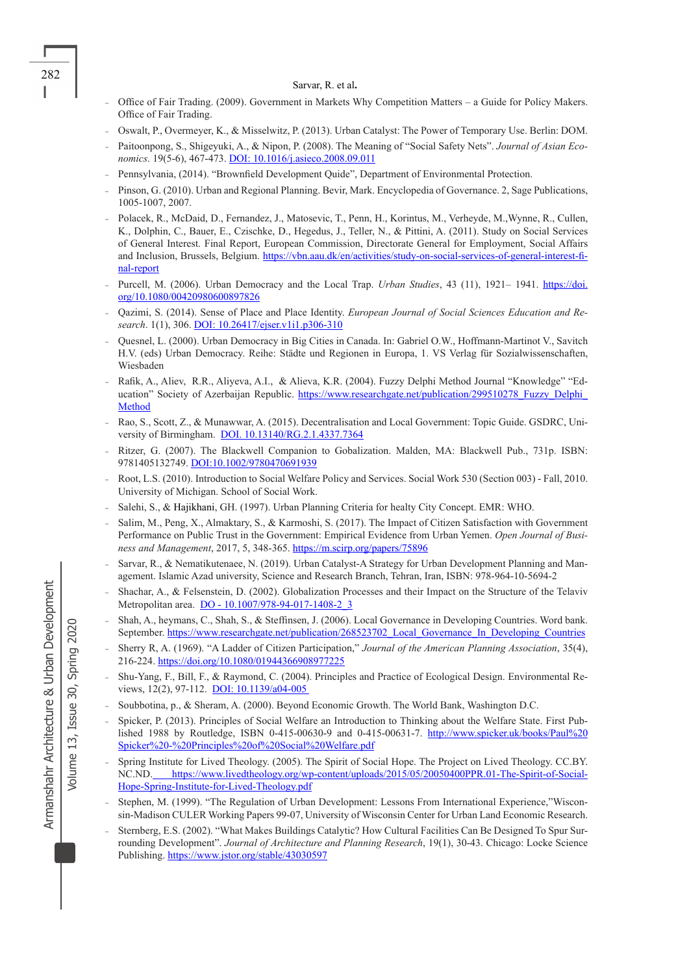- Office of Fair Trading. (2009). Government in Markets Why Competition Matters a Guide for Policy Makers. Office of Fair Trading.
- Oswalt, P., Overmeyer, K., & Misselwitz, P. (2013). Urban Catalyst: The Power of Temporary Use. Berlin: DOM.
- Paitoonpong, S., Shigeyuki, A., & Nipon, P. (2008). The Meaning of "Social Safety Nets". *Journal of Asian Economics*. 19(5-6), 467-473. DOI: 10.1016/j.asieco.2008.09.011
- Pennsylvania, (2014). "Brownfield Development Quide", Department of Environmental Protection.
- Pinson, G. (2010). Urban and Regional Planning. Bevir, Mark. Encyclopedia of Governance. 2, Sage Publications, 1005-1007, 2007.
- Polacek, R., McDaid, D., Fernandez, J., Matosevic, T., Penn, H., Korintus, M., Verheyde, M.,Wynne, R., Cullen, K., Dolphin, C., Bauer, E., Czischke, D., Hegedus, J., Teller, N., & Pittini, A. (2011). Study on Social Services of General Interest. Final Report, European Commission, Directorate General for Employment, Social Affairs and Inclusion, Brussels, Belgium. https://vbn.aau.dk/en/activities/study-on-social-services-of-general-interest-final-report
- Purcell, M. (2006). Urban Democracy and the Local Trap. *Urban Studies*, 43 (11), 1921– 1941. https://doi. org/10.1080/00420980600897826
- Qazimi, S. (2014). Sense of Place and Place Identity. *European Journal of Social Sciences Education and Research*. 1(1), 306. DOI: 10.26417/ejser.v1i1.p306-310
- Quesnel, L. (2000). Urban Democracy in Big Cities in Canada. In: Gabriel O.W., Hoffmann-Martinot V., Savitch H.V. (eds) Urban Democracy. Reihe: Städte und Regionen in Europa, 1. VS Verlag für Sozialwissenschaften, Wiesbaden
- Rafik, A., Aliev, R.R., Aliyeva, A.I., & Alieva, K.R. (2004). Fuzzy Delphi Method Journal "Knowledge" "Education" Society of Azerbaijan Republic. https://www.researchgate.net/publication/299510278\_Fuzzy\_Delphi Method
- Rao, S., Scott, Z., & Munawwar, A. (2015). Decentralisation and Local Government: Topic Guide. GSDRC, University of Birmingham. DOI. 10.13140/RG.2.1.4337.7364
- Ritzer, G. (2007). The Blackwell Companion to Gobalization. Malden, MA: Blackwell Pub., 731p. ISBN: 9781405132749. DOI:10.1002/9780470691939
- Root, L.S. (2010). Introduction to Social Welfare Policy and Services. Social Work 530 (Section 003) Fall, 2010. University of Michigan. School of Social Work.
- Salehi, S., & Hajikhani, GH. (1997). Urban Planning Criteria for healty City Concept. EMR: WHO.
- Salim, M., Peng, X., Almaktary, S., & Karmoshi, S. (2017). The Impact of Citizen Satisfaction with Government Performance on Public Trust in the Government: Empirical Evidence from Urban Yemen. *Open Journal of Business and Management*, 2017, 5, 348-365. https://m.scirp.org/papers/75896
- Sarvar, R., & Nematikutenaee, N. (2019). Urban Catalyst-A Strategy for Urban Development Planning and Management. Islamic Azad university, Science and Research Branch, Tehran, Iran, ISBN: 978-964-10-5694-2
- Shachar, A., & Felsenstein, D. (2002). Globalization Processes and their Impact on the Structure of the Telaviv Metropolitan area. DO - 10.1007/978-94-017-1408-2\_3
- Shah, A., heymans, C., Shah, S., & Steffinsen, J. (2006). Local Governance in Developing Countries. Word bank. September. https://www.researchgate.net/publication/268523702\_Local\_Governance\_In\_Developing\_Countries
- Sherry R, A. (1969). "A Ladder of Citizen Participation," *Journal of the American Planning Association*, 35(4), 216-224. https://doi.org/10.1080/01944366908977225
- Shu-Yang, F., Bill, F., & Raymond, C. (2004). Principles and Practice of Ecological Design. Environmental Reviews, 12(2), 97-112. DOI: 10.1139/a04-005
- Soubbotina, p., & Sheram, A. (2000). Beyond Economic Growth. The World Bank, Washington D.C.
- Spicker, P. (2013). Principles of Social Welfare an Introduction to Thinking about the Welfare State. First Published 1988 by Routledge, ISBN 0-415-00630-9 and 0-415-00631-7. http://www.spicker.uk/books/Paul%20 Spicker%20-%20Principles%20of%20Social%20Welfare.pdf
- Spring Institute for Lived Theology. (2005). The Spirit of Social Hope. The Project on Lived Theology. CC.BY. NC.ND. https://www.livedtheology.org/wp-content/uploads/2015/05/20050400PPR.01-The-Spirit-of-Social-Hope-Spring-Institute-for-Lived-Theology.pdf
- Stephen, M. (1999). "The Regulation of Urban Development: Lessons From International Experience,"Wisconsin-Madison CULER Working Papers 99-07, University of Wisconsin Center for Urban Land Economic Research.
- Sternberg, E.S. (2002). "What Makes Buildings Catalytic? How Cultural Facilities Can Be Designed To Spur Surrounding Development". *Journal of Architecture and Planning Research*, 19(1), 30-43. Chicago: Locke Science Publishing. https://www.jstor.org/stable/43030597

Volume 13, Issue 30, Spring 2020